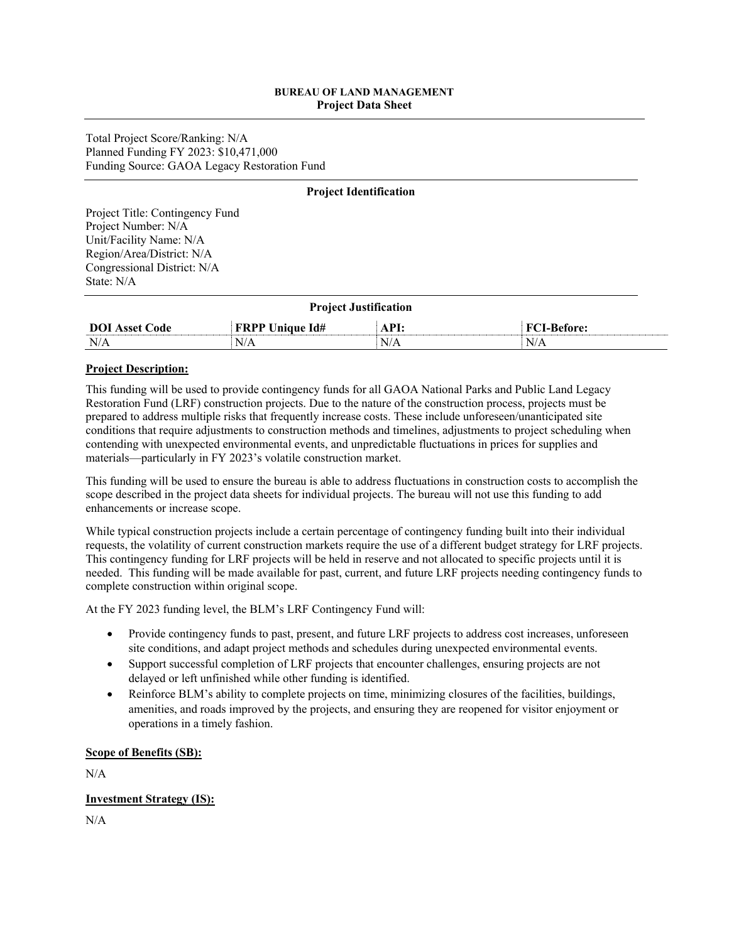#### **BUREAU OF LAND MANAGEMENT Project Data Sheet**

Total Project Score/Ranking: N/A Planned Funding FY 2023: \$10,471,000 Funding Source: GAOA Legacy Restoration Fund

#### **Project Identification**

Project Title: Contingency Fund Project Number: N/A Unit/Facility Name: N/A Region/Area/District: N/A Congressional District: N/A State: N/A

| <b>Project Justification</b>                                                  |     |     |    |  |  |
|-------------------------------------------------------------------------------|-----|-----|----|--|--|
| <b>DOI</b> Asset Code<br><b>FRPP Unique Id#</b><br>API:<br><b>FCI-Before:</b> |     |     |    |  |  |
| N/A                                                                           | N/A | N/A | N/ |  |  |

#### **Project Description:**

This funding will be used to provide contingency funds for all GAOA National Parks and Public Land Legacy Restoration Fund (LRF) construction projects. Due to the nature of the construction process, projects must be prepared to address multiple risks that frequently increase costs. These include unforeseen/unanticipated site conditions that require adjustments to construction methods and timelines, adjustments to project scheduling when contending with unexpected environmental events, and unpredictable fluctuations in prices for supplies and materials—particularly in FY 2023's volatile construction market.

This funding will be used to ensure the bureau is able to address fluctuations in construction costs to accomplish the scope described in the project data sheets for individual projects. The bureau will not use this funding to add enhancements or increase scope.

While typical construction projects include a certain percentage of contingency funding built into their individual requests, the volatility of current construction markets require the use of a different budget strategy for LRF projects. This contingency funding for LRF projects will be held in reserve and not allocated to specific projects until it is needed. This funding will be made available for past, current, and future LRF projects needing contingency funds to complete construction within original scope.

At the FY 2023 funding level, the BLM's LRF Contingency Fund will:

- Provide contingency funds to past, present, and future LRF projects to address cost increases, unforeseen site conditions, and adapt project methods and schedules during unexpected environmental events.
- Support successful completion of LRF projects that encounter challenges, ensuring projects are not delayed or left unfinished while other funding is identified.
- Reinforce BLM's ability to complete projects on time, minimizing closures of the facilities, buildings, amenities, and roads improved by the projects, and ensuring they are reopened for visitor enjoyment or operations in a timely fashion.

#### **Scope of Benefits (SB):**

N/A

#### **Investment Strategy (IS):**

N/A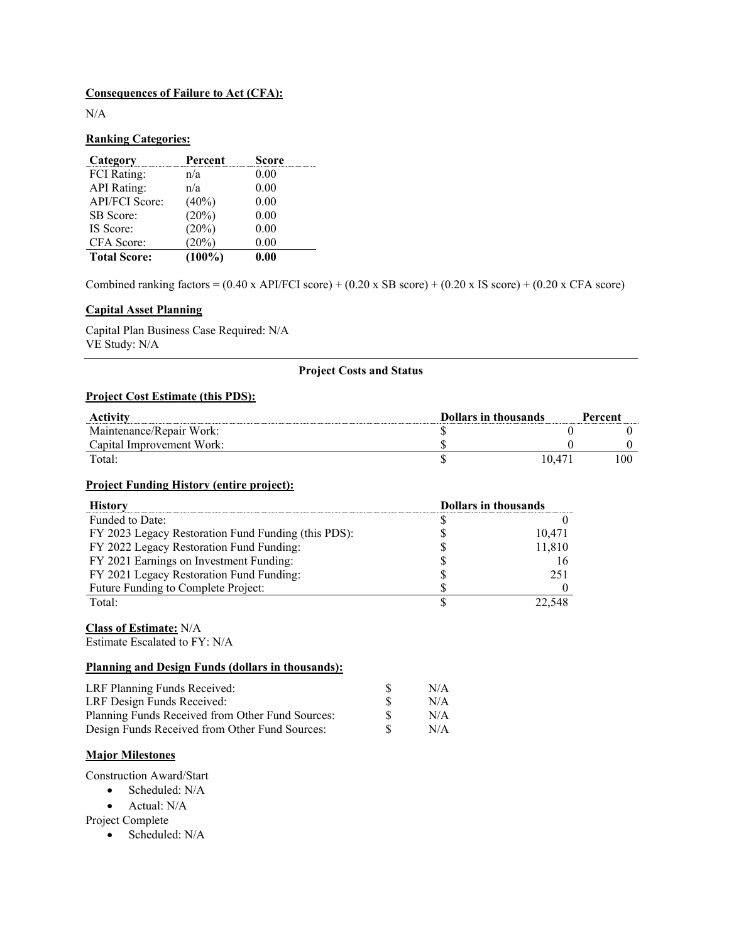#### **Consequences of Failure to Act (CFA):**

N/A

#### **Ranking Categories:**

| Category              | Percent   | <b>Score</b> |
|-----------------------|-----------|--------------|
| <b>FCI</b> Rating:    | n/a       | 0.00         |
| <b>API</b> Rating:    | n/a       | 0.00         |
| <b>API/FCI Score:</b> | $(40\%)$  | 0.00         |
| <b>SB</b> Score:      | (20%)     | 0.00         |
| IS Score:             | (20%)     | 0.00         |
| CFA Score:            | (20%)     | 0.00         |
| <b>Total Score:</b>   | $(100\%)$ | 0.00         |

Combined ranking factors =  $(0.40 \times API/FCI score) + (0.20 \times SB score) + (0.20 \times IS score) + (0.20 \times CFA score)$ 

#### **Capital Asset Planning**

Capital Plan Business Case Required: N/A VE Study: N/A

#### **Project Costs and Status**

#### **Project Cost Estimate (this PDS):**

| <b>Dollars in thousands</b><br>Activity |  |        | Percent |
|-----------------------------------------|--|--------|---------|
| Maintenance/Repair Work:                |  |        |         |
| Capital Improvement Work:               |  |        |         |
| Total:                                  |  | 10.471 |         |

#### **Project Funding History (entire project):**

| <b>History</b>                                      | <b>Dollars in thousands</b> |
|-----------------------------------------------------|-----------------------------|
| Funded to Date:                                     |                             |
| FY 2023 Legacy Restoration Fund Funding (this PDS): | 10,471                      |
| FY 2022 Legacy Restoration Fund Funding:            | 11,810                      |
| FY 2021 Earnings on Investment Funding:             |                             |
| FY 2021 Legacy Restoration Fund Funding:            | 251                         |
| Future Funding to Complete Project:                 |                             |
| Total:                                              |                             |

## **Class of Estimate:** N/A

Estimate Escalated to FY: N/A

#### **Planning and Design Funds (dollars in thousands):**

| LRF Planning Funds Received:                     | N/A |
|--------------------------------------------------|-----|
| LRF Design Funds Received:                       | N/A |
| Planning Funds Received from Other Fund Sources: | N/A |
| Design Funds Received from Other Fund Sources:   | N/A |

#### **Major Milestones**

Construction Award/Start

• Scheduled: N/A

• Actual: N/A

Project Complete

• Scheduled: N/A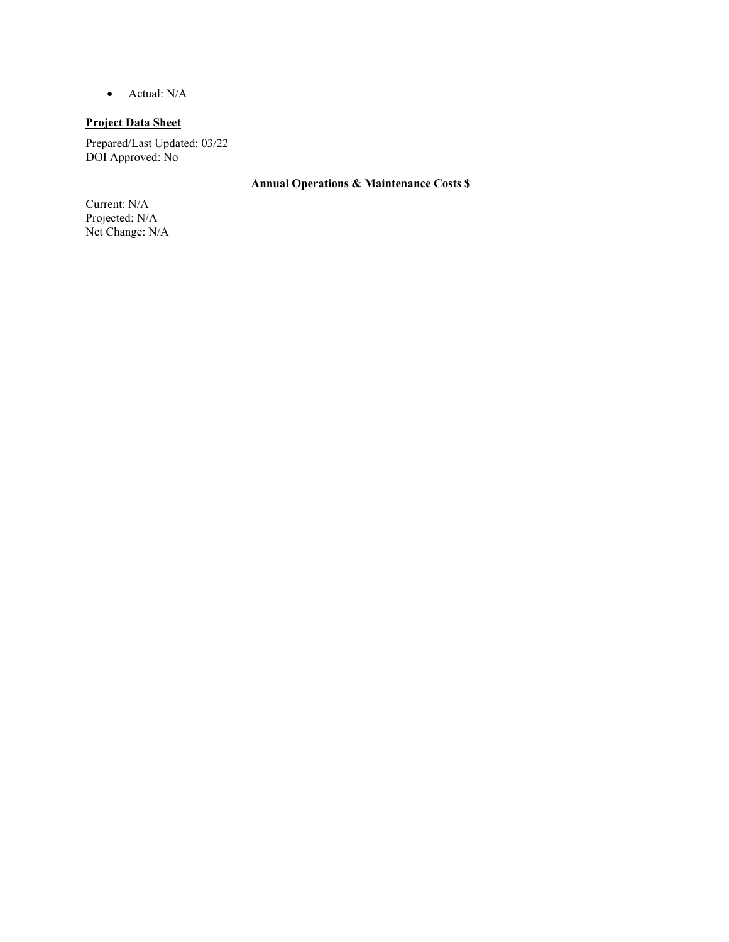• Actual: N/A

#### **Project Data Sheet**

Prepared/Last Updated: 03/22 DOI Approved: No

**Annual Operations & Maintenance Costs \$** 

Current: N/A Projected: N/A Net Change: N/A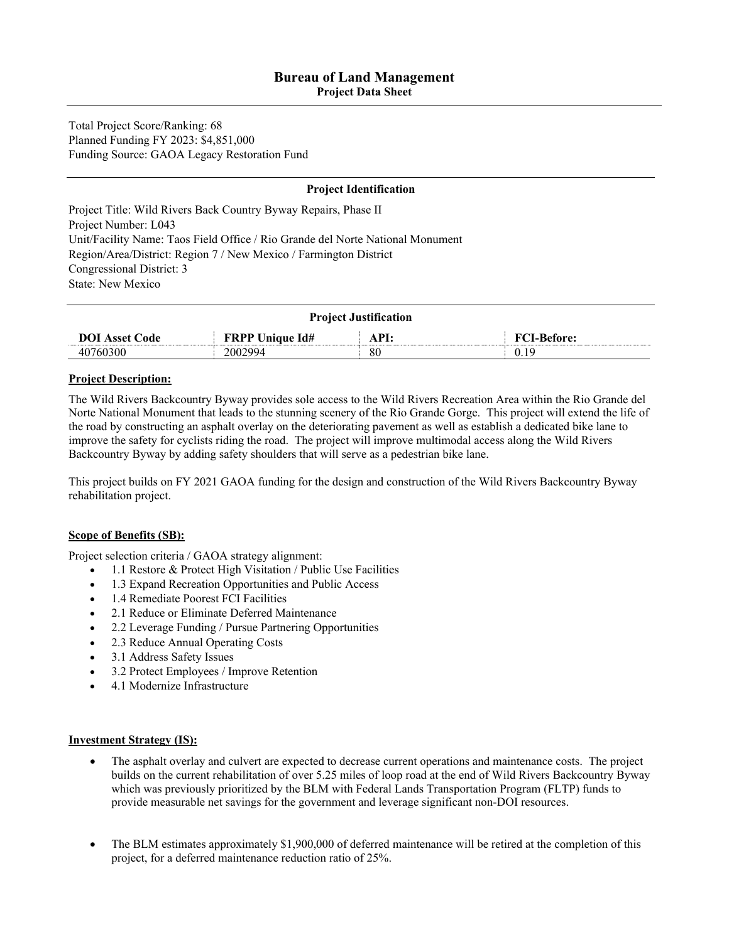**Project Data Sheet** 

Total Project Score/Ranking: 68 Planned Funding FY 2023: \$4,851,000 Funding Source: GAOA Legacy Restoration Fund

#### **Project Identification**

Project Title: Wild Rivers Back Country Byway Repairs, Phase II Project Number: L043 Unit/Facility Name: Taos Field Office / Rio Grande del Norte National Monument Region/Area/District: Region 7 / New Mexico / Farmington District Congressional District: 3 State: New Mexico

| <b>Project Justification</b>                                                  |         |    |      |  |  |
|-------------------------------------------------------------------------------|---------|----|------|--|--|
| API:<br><b>FRPP Unique Id#</b><br><b>FCI-Before:</b><br><b>DOI</b> Asset Code |         |    |      |  |  |
| 40760300                                                                      | 2002994 | 80 | 0.19 |  |  |

#### **Project Description:**

The Wild Rivers Backcountry Byway provides sole access to the Wild Rivers Recreation Area within the Rio Grande del Norte National Monument that leads to the stunning scenery of the Rio Grande Gorge. This project will extend the life of the road by constructing an asphalt overlay on the deteriorating pavement as well as establish a dedicated bike lane to improve the safety for cyclists riding the road. The project will improve multimodal access along the Wild Rivers Backcountry Byway by adding safety shoulders that will serve as a pedestrian bike lane.

This project builds on FY 2021 GAOA funding for the design and construction of the Wild Rivers Backcountry Byway rehabilitation project.

#### **Scope of Benefits (SB):**

Project selection criteria / GAOA strategy alignment:

- 1.1 Restore & Protect High Visitation / Public Use Facilities
- 1.3 Expand Recreation Opportunities and Public Access
- 1.4 Remediate Poorest FCI Facilities
- 2.1 Reduce or Eliminate Deferred Maintenance
- 2.2 Leverage Funding / Pursue Partnering Opportunities
- 2.3 Reduce Annual Operating Costs
- 3.1 Address Safety Issues
- 3.2 Protect Employees / Improve Retention
- 4.1 Modernize Infrastructure

#### **Investment Strategy (IS):**

- The asphalt overlay and culvert are expected to decrease current operations and maintenance costs. The project builds on the current rehabilitation of over 5.25 miles of loop road at the end of Wild Rivers Backcountry Byway which was previously prioritized by the BLM with Federal Lands Transportation Program (FLTP) funds to provide measurable net savings for the government and leverage significant non-DOI resources.
- The BLM estimates approximately \$1,900,000 of deferred maintenance will be retired at the completion of this project, for a deferred maintenance reduction ratio of 25%.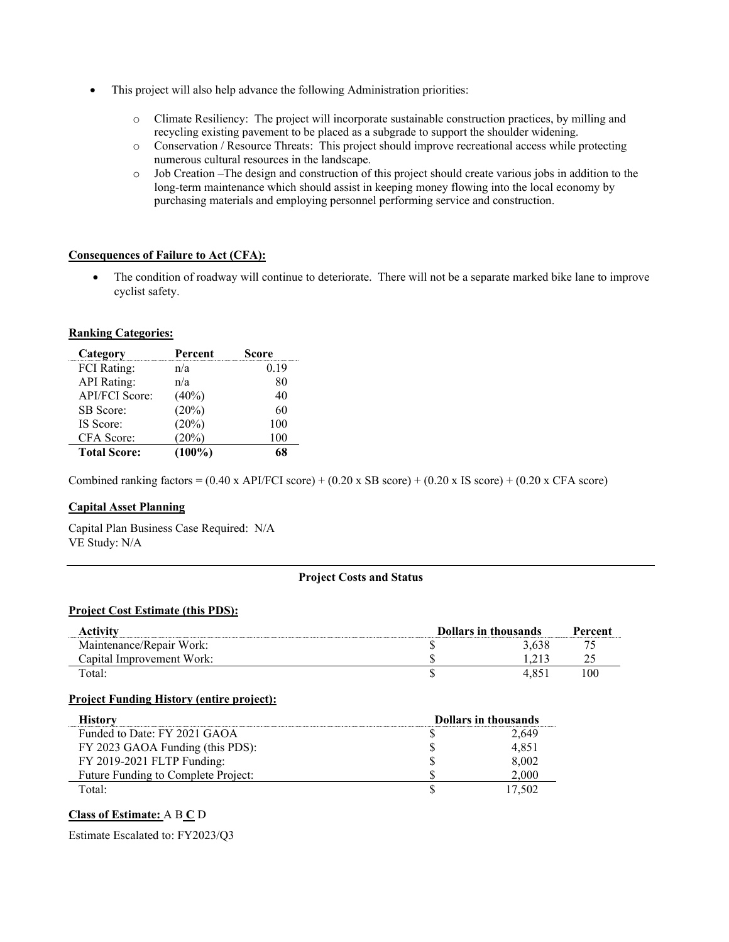- This project will also help advance the following Administration priorities:
	- o Climate Resiliency: The project will incorporate sustainable construction practices, by milling and recycling existing pavement to be placed as a subgrade to support the shoulder widening.
	- o Conservation / Resource Threats: This project should improve recreational access while protecting numerous cultural resources in the landscape.
	- o Job Creation –The design and construction of this project should create various jobs in addition to the long-term maintenance which should assist in keeping money flowing into the local economy by purchasing materials and employing personnel performing service and construction.

#### **Consequences of Failure to Act (CFA):**

• The condition of roadway will continue to deteriorate. There will not be a separate marked bike lane to improve cyclist safety.

#### **Ranking Categories:**

| Category            | Percent   | Score |
|---------------------|-----------|-------|
| <b>FCI</b> Rating:  | n/a       | 0.19  |
| <b>API</b> Rating:  | n/a       | 80    |
| API/FCI Score:      | (40%)     | 40    |
| <b>SB</b> Score:    | (20%)     | 60    |
| IS Score:           | (20%)     | 100   |
| CFA Score:          | (20%)     | 100   |
| <b>Total Score:</b> | $(100\%)$ |       |

Combined ranking factors =  $(0.40 \times API/FCI score) + (0.20 \times SB score) + (0.20 \times IS score) + (0.20 \times CFA score)$ 

#### **Capital Asset Planning**

Capital Plan Business Case Required: N/A VE Study: N/A

#### **Project Costs and Status**

#### **Project Cost Estimate (this PDS):**

| Activity                  | <b>Dollars in thousands</b> |  |
|---------------------------|-----------------------------|--|
| Maintenance/Repair Work:  |                             |  |
| Capital Improvement Work: |                             |  |
| Total:                    |                             |  |

#### **Project Funding History (entire project):**

| History                             | <b>Dollars in thousands</b> |
|-------------------------------------|-----------------------------|
| Funded to Date: FY 2021 GAOA        | 2,649                       |
| FY 2023 GAOA Funding (this PDS):    | 4,851                       |
| FY 2019-2021 FLTP Funding:          | 8,002                       |
| Future Funding to Complete Project: | 2.000                       |
| Total:                              | 17.502                      |

#### **Class of Estimate:** A B **C** D

Estimate Escalated to: FY2023/Q3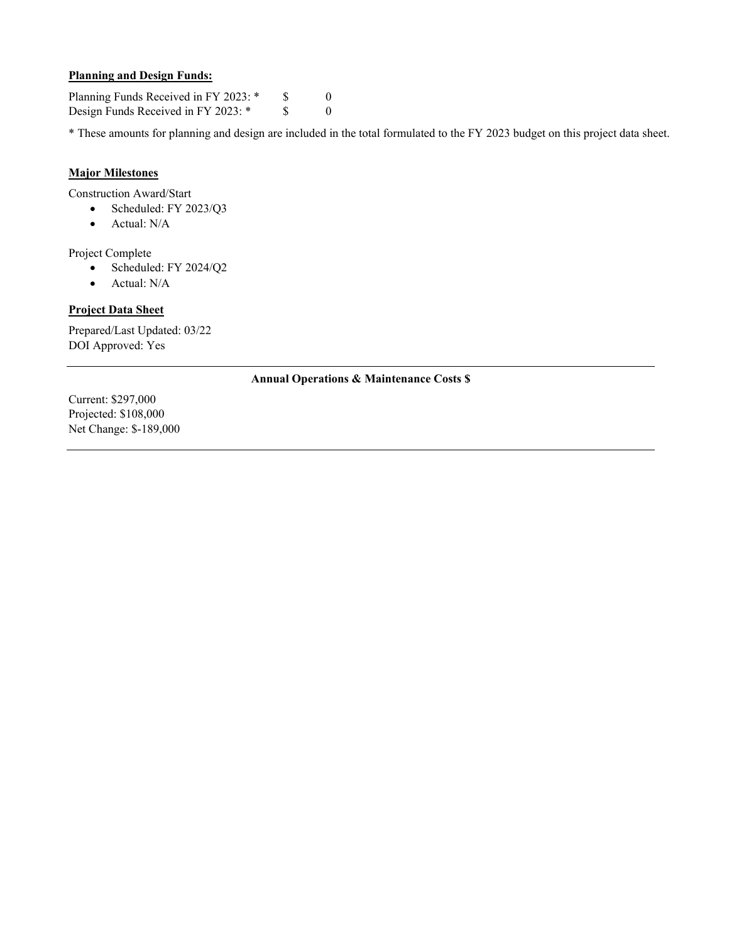#### **Planning and Design Funds:**

Planning Funds Received in FY 2023: \* \$ 0 Design Funds Received in FY 2023: \* \$ 0

\* These amounts for planning and design are included in the total formulated to the FY 2023 budget on this project data sheet.

#### **Major Milestones**

Construction Award/Start

- Scheduled: FY 2023/Q3
- Actual: N/A

Project Complete

- Scheduled: FY 2024/Q2
- Actual: N/A

#### **Project Data Sheet**

Prepared/Last Updated: 03/22 DOI Approved: Yes

#### **Annual Operations & Maintenance Costs \$**

Current: \$297,000 Projected: \$108,000 Net Change: \$-189,000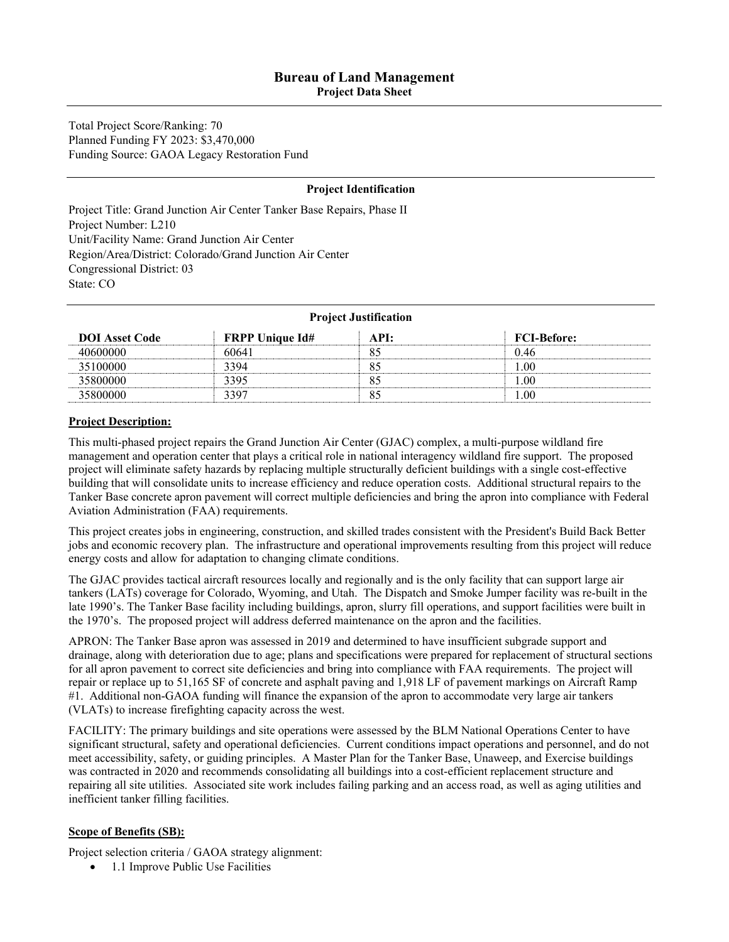**Project Data Sheet** 

Total Project Score/Ranking: 70 Planned Funding FY 2023: \$3,470,000 Funding Source: GAOA Legacy Restoration Fund

#### **Project Identification**

Project Title: Grand Junction Air Center Tanker Base Repairs, Phase II Project Number: L210 Unit/Facility Name: Grand Junction Air Center Region/Area/District: Colorado/Grand Junction Air Center Congressional District: 03 State: CO

| <b>Project Justification</b> |                        |      |                    |
|------------------------------|------------------------|------|--------------------|
| <b>DOI</b> Asset Code        | <b>FRPP Unique Id#</b> | API: | <b>FCI-Before:</b> |
| 40600000                     | 60641                  | 85   | 0.46               |
| 35100000                     | 3394                   | 85   | 1.00               |
| 35800000                     | 3395                   | 85   | 0.00               |
| 35800000                     | 3397                   | 85   | 00.                |

#### **Project Description:**

This multi-phased project repairs the Grand Junction Air Center (GJAC) complex, a multi-purpose wildland fire management and operation center that plays a critical role in national interagency wildland fire support. The proposed project will eliminate safety hazards by replacing multiple structurally deficient buildings with a single cost-effective building that will consolidate units to increase efficiency and reduce operation costs. Additional structural repairs to the Tanker Base concrete apron pavement will correct multiple deficiencies and bring the apron into compliance with Federal Aviation Administration (FAA) requirements.

This project creates jobs in engineering, construction, and skilled trades consistent with the President's Build Back Better jobs and economic recovery plan. The infrastructure and operational improvements resulting from this project will reduce energy costs and allow for adaptation to changing climate conditions.

The GJAC provides tactical aircraft resources locally and regionally and is the only facility that can support large air tankers (LATs) coverage for Colorado, Wyoming, and Utah. The Dispatch and Smoke Jumper facility was re-built in the late 1990's. The Tanker Base facility including buildings, apron, slurry fill operations, and support facilities were built in the 1970's. The proposed project will address deferred maintenance on the apron and the facilities.

APRON: The Tanker Base apron was assessed in 2019 and determined to have insufficient subgrade support and drainage, along with deterioration due to age; plans and specifications were prepared for replacement of structural sections for all apron pavement to correct site deficiencies and bring into compliance with FAA requirements. The project will repair or replace up to 51,165 SF of concrete and asphalt paving and 1,918 LF of pavement markings on Aircraft Ramp #1. Additional non-GAOA funding will finance the expansion of the apron to accommodate very large air tankers (VLATs) to increase firefighting capacity across the west.

FACILITY: The primary buildings and site operations were assessed by the BLM National Operations Center to have significant structural, safety and operational deficiencies. Current conditions impact operations and personnel, and do not meet accessibility, safety, or guiding principles. A Master Plan for the Tanker Base, Unaweep, and Exercise buildings was contracted in 2020 and recommends consolidating all buildings into a cost-efficient replacement structure and repairing all site utilities. Associated site work includes failing parking and an access road, as well as aging utilities and inefficient tanker filling facilities.

#### **Scope of Benefits (SB):**

Project selection criteria / GAOA strategy alignment:

• 1.1 Improve Public Use Facilities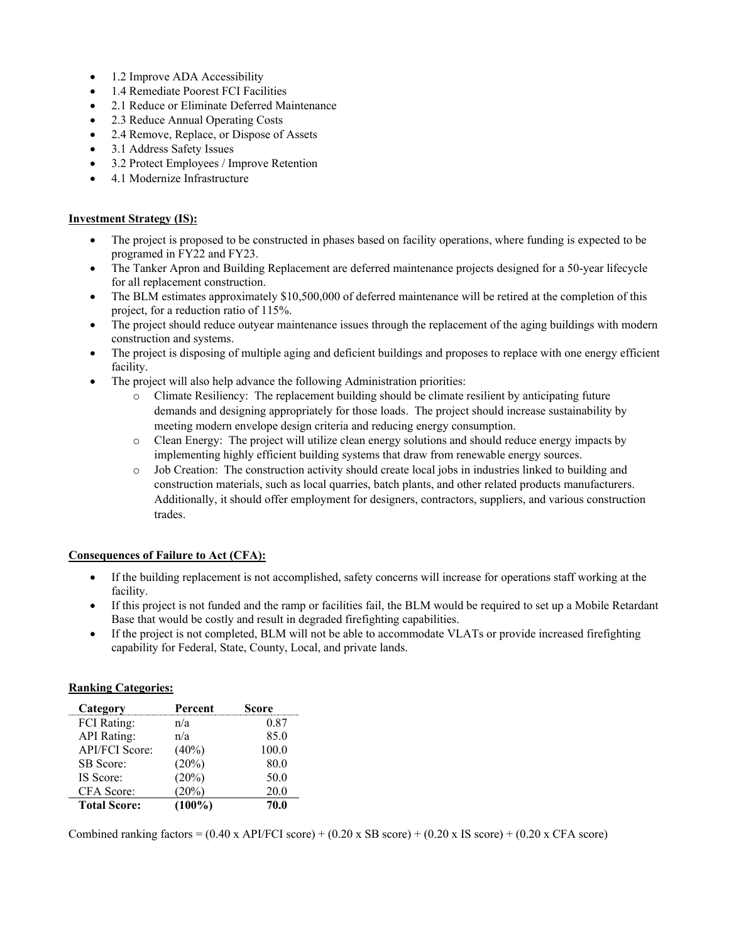- 1.2 Improve ADA Accessibility
- 1.4 Remediate Poorest FCI Facilities
- 2.1 Reduce or Eliminate Deferred Maintenance
- 2.3 Reduce Annual Operating Costs
- 2.4 Remove, Replace, or Dispose of Assets
- 3.1 Address Safety Issues
- 3.2 Protect Employees / Improve Retention
- 4.1 Modernize Infrastructure

#### **Investment Strategy (IS):**

- The project is proposed to be constructed in phases based on facility operations, where funding is expected to be programed in FY22 and FY23.
- The Tanker Apron and Building Replacement are deferred maintenance projects designed for a 50-year lifecycle for all replacement construction.
- The BLM estimates approximately \$10,500,000 of deferred maintenance will be retired at the completion of this project, for a reduction ratio of 115%.
- The project should reduce outyear maintenance issues through the replacement of the aging buildings with modern construction and systems.
- The project is disposing of multiple aging and deficient buildings and proposes to replace with one energy efficient facility.
- The project will also help advance the following Administration priorities:
	- o Climate Resiliency: The replacement building should be climate resilient by anticipating future demands and designing appropriately for those loads. The project should increase sustainability by meeting modern envelope design criteria and reducing energy consumption.
	- o Clean Energy: The project will utilize clean energy solutions and should reduce energy impacts by implementing highly efficient building systems that draw from renewable energy sources.
	- o Job Creation: The construction activity should create local jobs in industries linked to building and construction materials, such as local quarries, batch plants, and other related products manufacturers. Additionally, it should offer employment for designers, contractors, suppliers, and various construction trades.

#### **Consequences of Failure to Act (CFA):**

- If the building replacement is not accomplished, safety concerns will increase for operations staff working at the facility.
- If this project is not funded and the ramp or facilities fail, the BLM would be required to set up a Mobile Retardant Base that would be costly and result in degraded firefighting capabilities.
- If the project is not completed, BLM will not be able to accommodate VLATs or provide increased firefighting capability for Federal, State, County, Local, and private lands.

#### **Ranking Categories:**

| Category              | Percent   | Score |
|-----------------------|-----------|-------|
| <b>FCI</b> Rating:    | n/a       | 0.87  |
| <b>API</b> Rating:    | n/a       | 85.0  |
| <b>API/FCI Score:</b> | $(40\%)$  | 100.0 |
| SB Score:             | (20%)     | 80.0  |
| IS Score:             | (20%)     | 50.0  |
| CFA Score:            | $20\%)$   | 20.0  |
| <b>Total Score:</b>   | $(100\%)$ | 70.0  |

Combined ranking factors =  $(0.40 \times API/FCI score) + (0.20 \times SB score) + (0.20 \times IS score) + (0.20 \times CFA score)$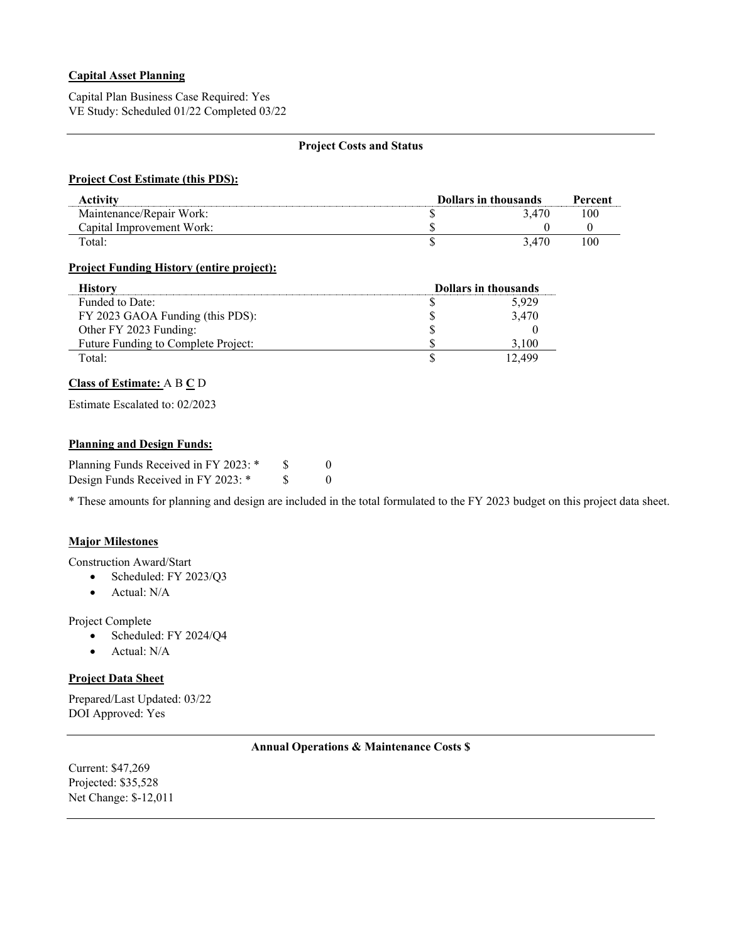#### **Capital Asset Planning**

Capital Plan Business Case Required: Yes VE Study: Scheduled 01/22 Completed 03/22

#### **Project Costs and Status**

#### **Project Cost Estimate (this PDS):**

| Activitv                  | <b>Dollars in thousands</b> |     |
|---------------------------|-----------------------------|-----|
| Maintenance/Repair Work:  | 3.470                       | 100 |
| Capital Improvement Work: |                             |     |
| Total:                    | 3.470                       | 100 |

#### **Project Funding History (entire project):**

| <b>History</b>                      | <b>Dollars in thousands</b> |        |
|-------------------------------------|-----------------------------|--------|
| Funded to Date:                     |                             | 5.929  |
| FY 2023 GAOA Funding (this PDS):    |                             | 3.470  |
| Other FY 2023 Funding:              |                             |        |
| Future Funding to Complete Project: |                             | .100   |
| Total:                              |                             | 12.499 |

#### **Class of Estimate:** A B **C** D

Estimate Escalated to: 02/2023

#### **Planning and Design Funds:**

| Planning Funds Received in FY 2023: * |  |
|---------------------------------------|--|
| Design Funds Received in FY 2023: *   |  |

\* These amounts for planning and design are included in the total formulated to the FY 2023 budget on this project data sheet.

#### **Major Milestones**

Construction Award/Start

- Scheduled: FY 2023/Q3
- Actual: N/A

Project Complete

- Scheduled: FY 2024/Q4
- Actual: N/A

#### **Project Data Sheet**

Prepared/Last Updated: 03/22 DOI Approved: Yes

#### **Annual Operations & Maintenance Costs \$**

Current: \$47,269 Projected: \$35,528 Net Change: \$-12,011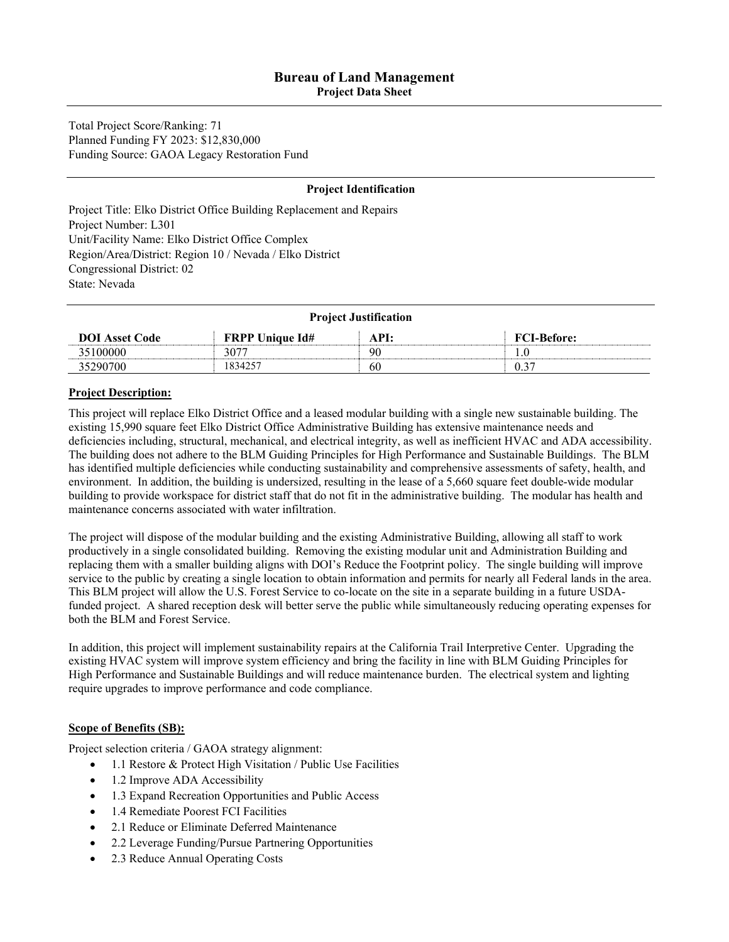**Project Data Sheet** 

Total Project Score/Ranking: 71 Planned Funding FY 2023: \$12,830,000 Funding Source: GAOA Legacy Restoration Fund

#### **Project Identification**

Project Title: Elko District Office Building Replacement and Repairs Project Number: L301 Unit/Facility Name: Elko District Office Complex Region/Area/District: Region 10 / Nevada / Elko District Congressional District: 02 State: Nevada

| <b>Project Justification</b> |                        |      |                    |  |
|------------------------------|------------------------|------|--------------------|--|
| <b>DOI</b> Asset Code        | <b>FRPP Unique Id#</b> | API: | <b>FCI-Before:</b> |  |
| 35100000                     | 3077                   | 90   |                    |  |
| 35290700                     | 1834257                | 60   | 0.37               |  |

#### **Project Description:**

This project will replace Elko District Office and a leased modular building with a single new sustainable building. The existing 15,990 square feet Elko District Office Administrative Building has extensive maintenance needs and deficiencies including, structural, mechanical, and electrical integrity, as well as inefficient HVAC and ADA accessibility. The building does not adhere to the BLM Guiding Principles for High Performance and Sustainable Buildings. The BLM has identified multiple deficiencies while conducting sustainability and comprehensive assessments of safety, health, and environment. In addition, the building is undersized, resulting in the lease of a 5,660 square feet double-wide modular building to provide workspace for district staff that do not fit in the administrative building. The modular has health and maintenance concerns associated with water infiltration.

The project will dispose of the modular building and the existing Administrative Building, allowing all staff to work productively in a single consolidated building. Removing the existing modular unit and Administration Building and replacing them with a smaller building aligns with DOI's Reduce the Footprint policy. The single building will improve service to the public by creating a single location to obtain information and permits for nearly all Federal lands in the area. This BLM project will allow the U.S. Forest Service to co-locate on the site in a separate building in a future USDAfunded project. A shared reception desk will better serve the public while simultaneously reducing operating expenses for both the BLM and Forest Service.

In addition, this project will implement sustainability repairs at the California Trail Interpretive Center. Upgrading the existing HVAC system will improve system efficiency and bring the facility in line with BLM Guiding Principles for High Performance and Sustainable Buildings and will reduce maintenance burden. The electrical system and lighting require upgrades to improve performance and code compliance.

#### **Scope of Benefits (SB):**

Project selection criteria / GAOA strategy alignment:

- 1.1 Restore & Protect High Visitation / Public Use Facilities
- 1.2 Improve ADA Accessibility
- 1.3 Expand Recreation Opportunities and Public Access
- 1.4 Remediate Poorest FCI Facilities
- 2.1 Reduce or Eliminate Deferred Maintenance
- 2.2 Leverage Funding/Pursue Partnering Opportunities
- 2.3 Reduce Annual Operating Costs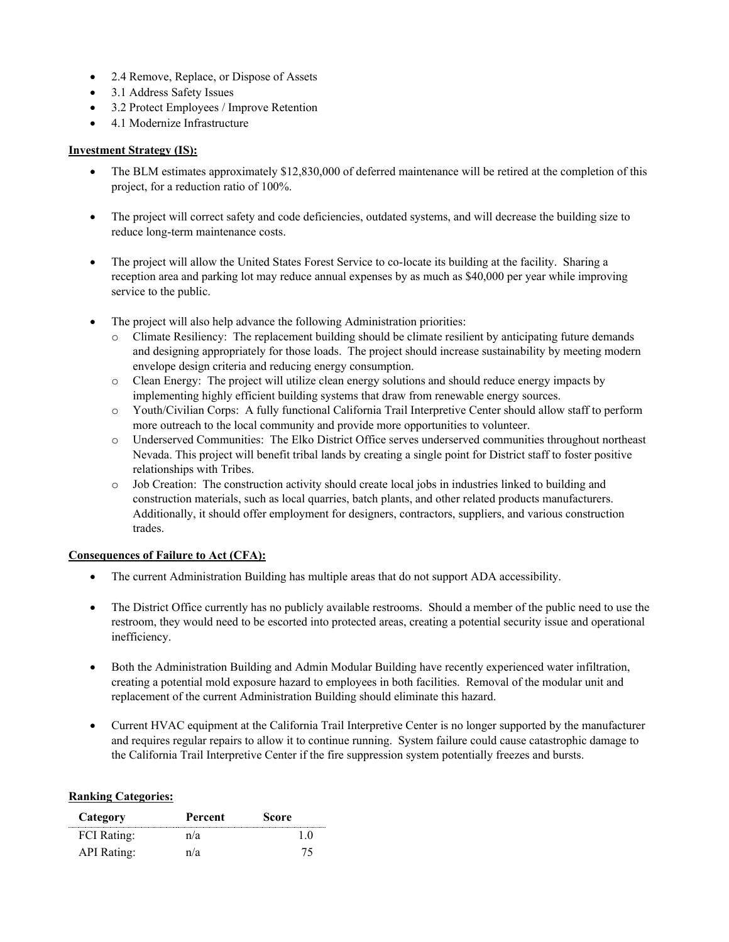- 2.4 Remove, Replace, or Dispose of Assets
- 3.1 Address Safety Issues
- 3.2 Protect Employees / Improve Retention
- 4.1 Modernize Infrastructure

#### **Investment Strategy (IS):**

- The BLM estimates approximately \$12,830,000 of deferred maintenance will be retired at the completion of this project, for a reduction ratio of 100%.
- The project will correct safety and code deficiencies, outdated systems, and will decrease the building size to reduce long-term maintenance costs.
- The project will allow the United States Forest Service to co-locate its building at the facility. Sharing a reception area and parking lot may reduce annual expenses by as much as \$40,000 per year while improving service to the public.
- The project will also help advance the following Administration priorities:
	- Climate Resiliency: The replacement building should be climate resilient by anticipating future demands and designing appropriately for those loads. The project should increase sustainability by meeting modern envelope design criteria and reducing energy consumption.
	- o Clean Energy: The project will utilize clean energy solutions and should reduce energy impacts by implementing highly efficient building systems that draw from renewable energy sources.
	- o Youth/Civilian Corps: A fully functional California Trail Interpretive Center should allow staff to perform more outreach to the local community and provide more opportunities to volunteer.
	- o Underserved Communities: The Elko District Office serves underserved communities throughout northeast Nevada. This project will benefit tribal lands by creating a single point for District staff to foster positive relationships with Tribes.
	- o Job Creation: The construction activity should create local jobs in industries linked to building and construction materials, such as local quarries, batch plants, and other related products manufacturers. Additionally, it should offer employment for designers, contractors, suppliers, and various construction trades.

#### **Consequences of Failure to Act (CFA):**

- The current Administration Building has multiple areas that do not support ADA accessibility.
- The District Office currently has no publicly available restrooms. Should a member of the public need to use the restroom, they would need to be escorted into protected areas, creating a potential security issue and operational inefficiency.
- Both the Administration Building and Admin Modular Building have recently experienced water infiltration, creating a potential mold exposure hazard to employees in both facilities. Removal of the modular unit and replacement of the current Administration Building should eliminate this hazard.
- Current HVAC equipment at the California Trail Interpretive Center is no longer supported by the manufacturer and requires regular repairs to allow it to continue running. System failure could cause catastrophic damage to the California Trail Interpretive Center if the fire suppression system potentially freezes and bursts.

#### **Ranking Categories:**

| Category           | Percent | Score |
|--------------------|---------|-------|
| <b>FCI</b> Rating: | n/a     |       |
| API Rating:        | n/a     | 75.   |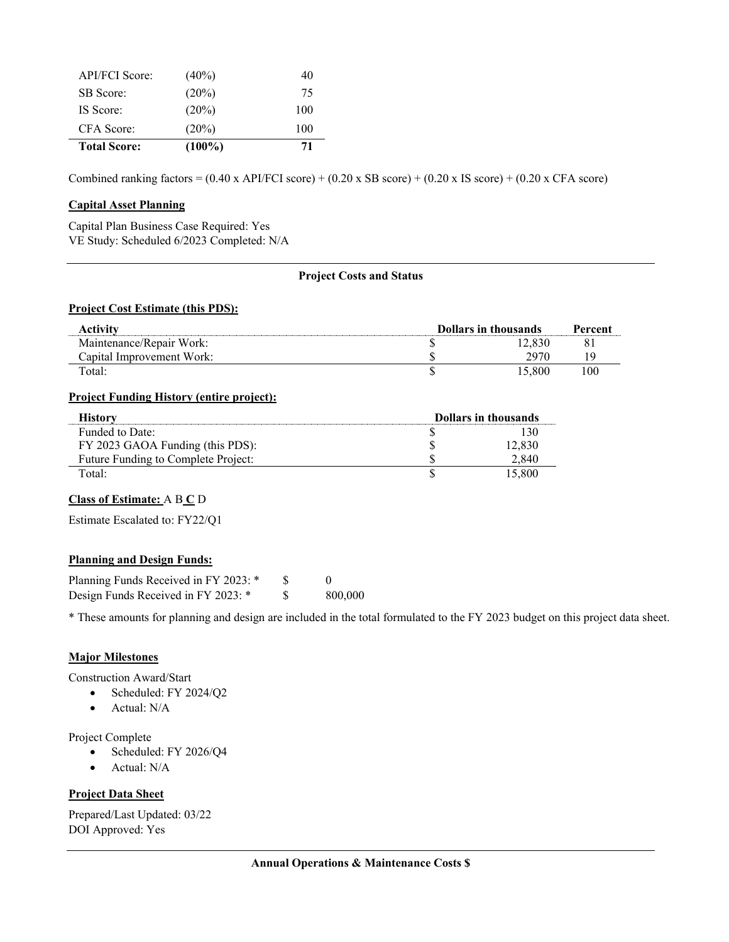| API/FCI Score:      | $(40\%)$  | 40  |
|---------------------|-----------|-----|
| SB Score:           | $(20\%)$  | 75  |
| IS Score:           | $(20\%)$  | 100 |
| CFA Score:          | $(20\%)$  | 100 |
| <b>Total Score:</b> | $(100\%)$ | 71  |

Combined ranking factors =  $(0.40 \times API/FCI score) + (0.20 \times SB score) + (0.20 \times IS score) + (0.20 \times CFA score)$ 

#### **Capital Asset Planning**

 $\overline{\phantom{0}}$ 

Capital Plan Business Case Required: Yes VE Study: Scheduled 6/2023 Completed: N/A

#### **Project Costs and Status**

#### **Project Cost Estimate (this PDS):**

| Activity                  | <b>Dollars in thousands</b> |        | Percent |
|---------------------------|-----------------------------|--------|---------|
| Maintenance/Repair Work:  |                             | 12.830 | 81      |
| Capital Improvement Work: |                             | 2970   |         |
| Total:                    |                             | 5.800  | 100     |

#### **Project Funding History (entire project):**

| History                             | <b>Dollars in thousands</b> |        |
|-------------------------------------|-----------------------------|--------|
| Funded to Date:                     |                             |        |
| FY 2023 GAOA Funding (this PDS):    |                             | 12.830 |
| Future Funding to Complete Project: |                             | 2.840  |
| Total:                              |                             | 15.800 |

#### **Class of Estimate:** A B **C** D

Estimate Escalated to: FY22/Q1

#### **Planning and Design Funds:**

| Planning Funds Received in FY 2023: * |         |
|---------------------------------------|---------|
| Design Funds Received in FY 2023: *   | 800.000 |

\* These amounts for planning and design are included in the total formulated to the FY 2023 budget on this project data sheet.

#### **Major Milestones**

Construction Award/Start

- Scheduled: FY 2024/Q2
- Actual: N/A

Project Complete

- Scheduled: FY 2026/Q4
- Actual: N/A

#### **Project Data Sheet**

Prepared/Last Updated: 03/22 DOI Approved: Yes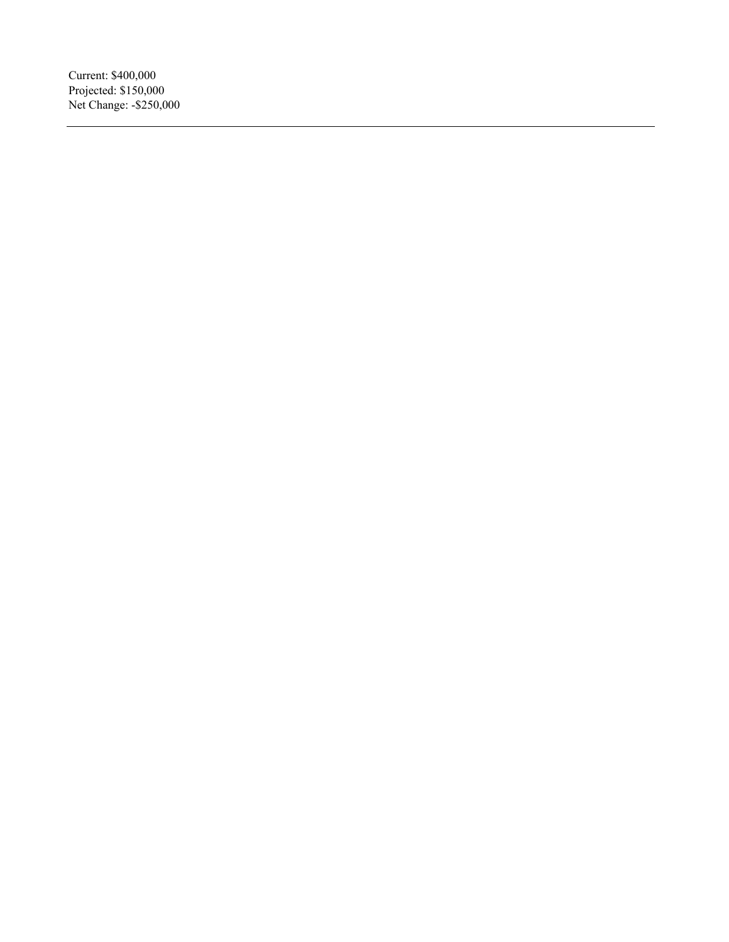Current: \$400,000 Projected: \$150,000 Net Change: -\$250,000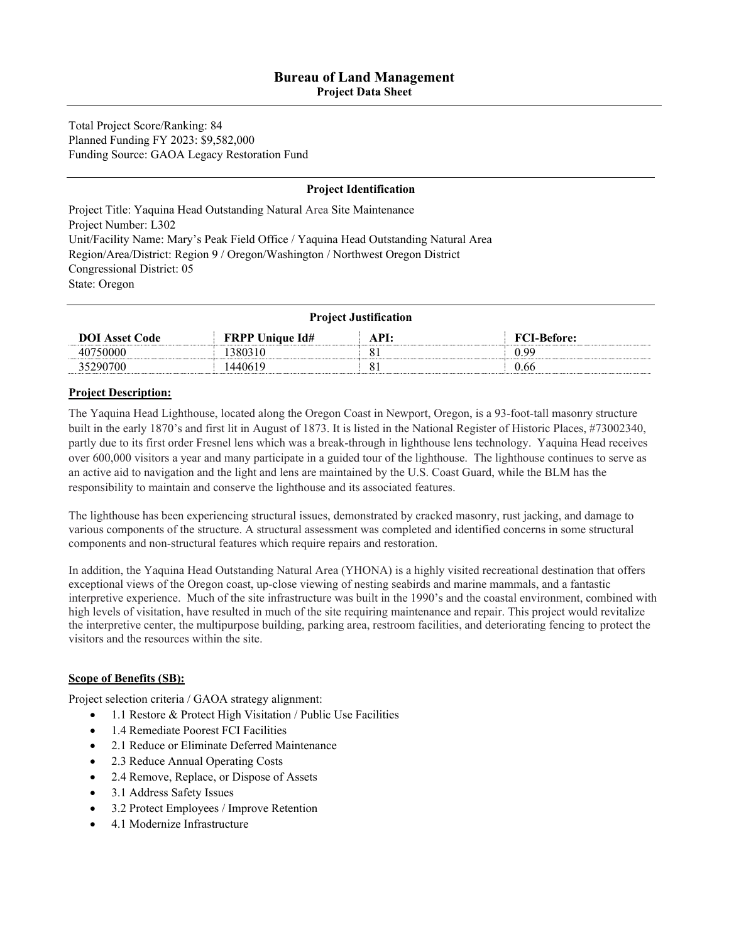**Project Data Sheet** 

Total Project Score/Ranking: 84 Planned Funding FY 2023: \$9,582,000 Funding Source: GAOA Legacy Restoration Fund

#### **Project Identification**

Project Title: Yaquina Head Outstanding Natural Area Site Maintenance Project Number: L302 Unit/Facility Name: Mary's Peak Field Office / Yaquina Head Outstanding Natural Area Region/Area/District: Region 9 / Oregon/Washington / Northwest Oregon District Congressional District: 05 State: Oregon

| <b>Project Justification</b> |                        |      |                    |  |
|------------------------------|------------------------|------|--------------------|--|
| <b>DOI</b> Asset Code        | <b>FRPP Unique Id#</b> | API: | <b>FCI-Before:</b> |  |
| 40750000                     | 1380310                |      | 0.99               |  |
| 35290700                     | 1440619                | 81   | 0.66               |  |

#### **Project Description:**

The Yaquina Head Lighthouse, located along the Oregon Coast in Newport, Oregon, is a 93-foot-tall masonry structure built in the early 1870's and first lit in August of 1873. It is listed in the National Register of Historic Places, #73002340, partly due to its first order Fresnel lens which was a break-through in lighthouse lens technology. Yaquina Head receives over 600,000 visitors a year and many participate in a guided tour of the lighthouse. The lighthouse continues to serve as an active aid to navigation and the light and lens are maintained by the U.S. Coast Guard, while the BLM has the responsibility to maintain and conserve the lighthouse and its associated features.

The lighthouse has been experiencing structural issues, demonstrated by cracked masonry, rust jacking, and damage to various components of the structure. A structural assessment was completed and identified concerns in some structural components and non-structural features which require repairs and restoration.

In addition, the Yaquina Head Outstanding Natural Area (YHONA) is a highly visited recreational destination that offers exceptional views of the Oregon coast, up-close viewing of nesting seabirds and marine mammals, and a fantastic interpretive experience. Much of the site infrastructure was built in the 1990's and the coastal environment, combined with high levels of visitation, have resulted in much of the site requiring maintenance and repair. This project would revitalize the interpretive center, the multipurpose building, parking area, restroom facilities, and deteriorating fencing to protect the visitors and the resources within the site.

#### **Scope of Benefits (SB):**

Project selection criteria / GAOA strategy alignment:

- 1.1 Restore & Protect High Visitation / Public Use Facilities
- 1.4 Remediate Poorest FCI Facilities
- 2.1 Reduce or Eliminate Deferred Maintenance
- 2.3 Reduce Annual Operating Costs
- 2.4 Remove, Replace, or Dispose of Assets
- 3.1 Address Safety Issues
- 3.2 Protect Employees / Improve Retention
- 4.1 Modernize Infrastructure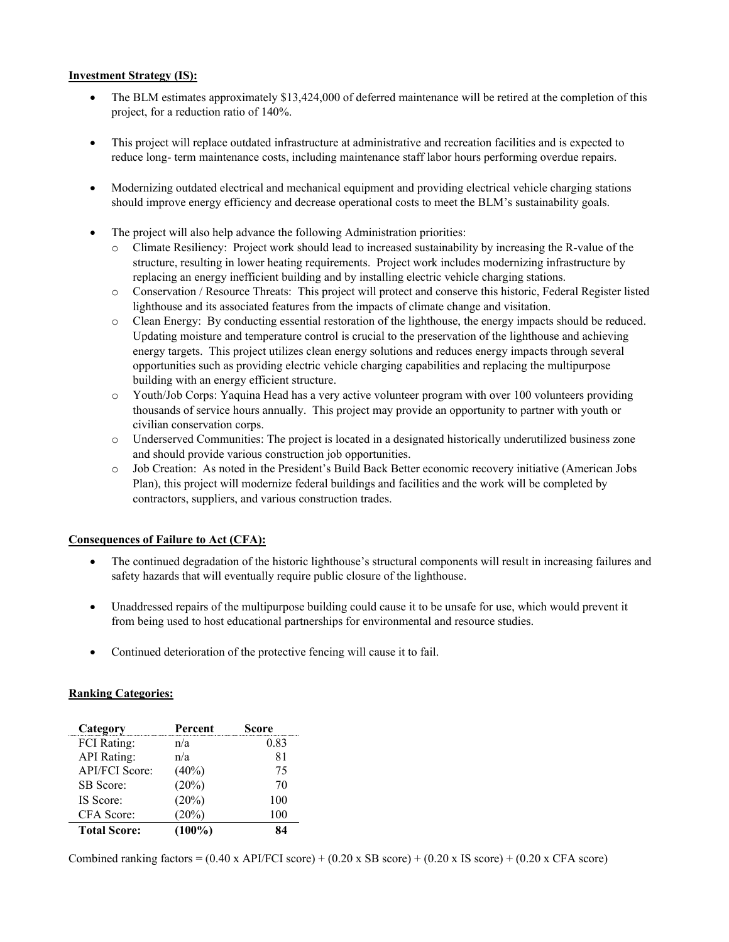#### **Investment Strategy (IS):**

- The BLM estimates approximately \$13,424,000 of deferred maintenance will be retired at the completion of this project, for a reduction ratio of 140%.
- This project will replace outdated infrastructure at administrative and recreation facilities and is expected to reduce long- term maintenance costs, including maintenance staff labor hours performing overdue repairs.
- Modernizing outdated electrical and mechanical equipment and providing electrical vehicle charging stations should improve energy efficiency and decrease operational costs to meet the BLM's sustainability goals.
- The project will also help advance the following Administration priorities:
	- o Climate Resiliency: Project work should lead to increased sustainability by increasing the R-value of the structure, resulting in lower heating requirements. Project work includes modernizing infrastructure by replacing an energy inefficient building and by installing electric vehicle charging stations.
	- o Conservation / Resource Threats: This project will protect and conserve this historic, Federal Register listed lighthouse and its associated features from the impacts of climate change and visitation.
	- o Clean Energy: By conducting essential restoration of the lighthouse, the energy impacts should be reduced. Updating moisture and temperature control is crucial to the preservation of the lighthouse and achieving energy targets. This project utilizes clean energy solutions and reduces energy impacts through several opportunities such as providing electric vehicle charging capabilities and replacing the multipurpose building with an energy efficient structure.
	- o Youth/Job Corps: Yaquina Head has a very active volunteer program with over 100 volunteers providing thousands of service hours annually. This project may provide an opportunity to partner with youth or civilian conservation corps.
	- o Underserved Communities: The project is located in a designated historically underutilized business zone and should provide various construction job opportunities.
	- o Job Creation: As noted in the President's Build Back Better economic recovery initiative (American Jobs Plan), this project will modernize federal buildings and facilities and the work will be completed by contractors, suppliers, and various construction trades.

#### **Consequences of Failure to Act (CFA):**

- The continued degradation of the historic lighthouse's structural components will result in increasing failures and safety hazards that will eventually require public closure of the lighthouse.
- Unaddressed repairs of the multipurpose building could cause it to be unsafe for use, which would prevent it from being used to host educational partnerships for environmental and resource studies.
- Continued deterioration of the protective fencing will cause it to fail.

#### **Ranking Categories:**

| Category              | Percent   | Score |
|-----------------------|-----------|-------|
| <b>FCI</b> Rating:    | n/a       | 0.83  |
| <b>API</b> Rating:    | n/a       | 81    |
| <b>API/FCI Score:</b> | $(40\%)$  | 75    |
| SB Score:             | (20%)     | 70    |
| IS Score:             | (20%)     | 100   |
| CFA Score:            | (20%)     | 100   |
| <b>Total Score:</b>   | $(100\%)$ |       |

Combined ranking factors =  $(0.40 \times API/FCI score) + (0.20 \times SB score) + (0.20 \times IS score) + (0.20 \times CFA score)$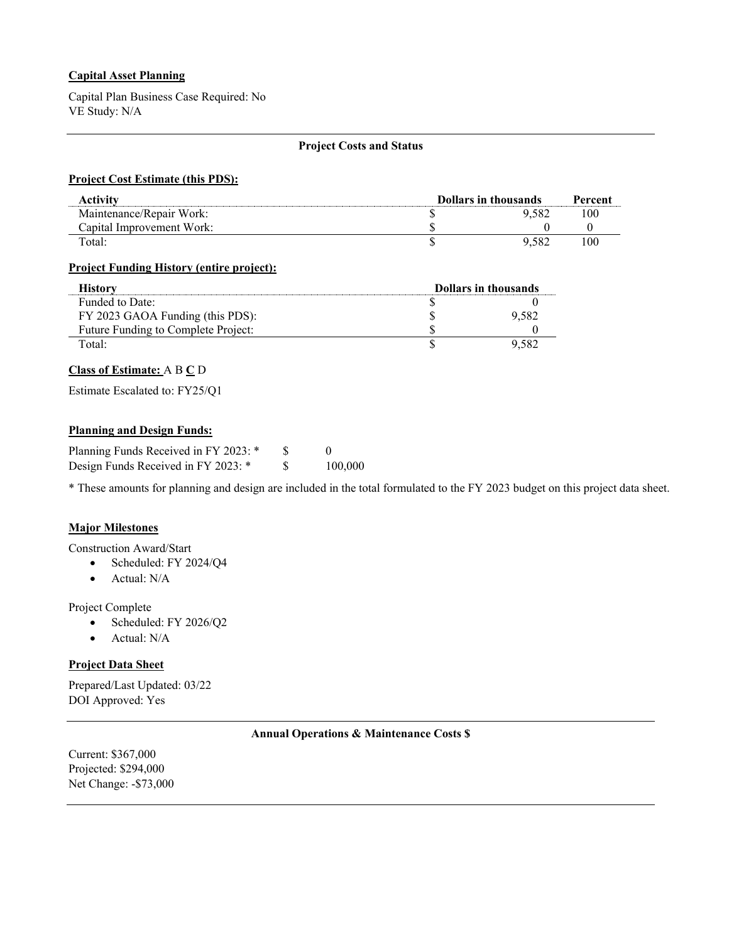#### **Capital Asset Planning**

Capital Plan Business Case Required: No VE Study: N/A

#### **Project Costs and Status**

#### **Project Cost Estimate (this PDS):**

| Activity                  | <b>Dollars in thousands</b> |     |
|---------------------------|-----------------------------|-----|
| Maintenance/Repair Work:  | 9.582                       | 100 |
| Capital Improvement Work: |                             |     |
| Total:                    | 9.582                       | 100 |

#### **Project Funding History (entire project):**

| History                             | <b>Dollars in thousands</b> |       |
|-------------------------------------|-----------------------------|-------|
| Funded to Date:                     |                             |       |
| FY 2023 GAOA Funding (this PDS):    |                             | 9.582 |
| Future Funding to Complete Project: |                             |       |
| Total:                              |                             | 9 582 |

#### **Class of Estimate:** A B **C** D

Estimate Escalated to: FY25/Q1

#### **Planning and Design Funds:**

| Planning Funds Received in FY 2023: * |         |
|---------------------------------------|---------|
| Design Funds Received in FY 2023: *   | 100,000 |

\* These amounts for planning and design are included in the total formulated to the FY 2023 budget on this project data sheet.

#### **Major Milestones**

Construction Award/Start

- Scheduled: FY 2024/Q4
- Actual: N/A

Project Complete

- Scheduled: FY 2026/Q2
- Actual: N/A

#### **Project Data Sheet**

Prepared/Last Updated: 03/22 DOI Approved: Yes

#### **Annual Operations & Maintenance Costs \$**

Current: \$367,000 Projected: \$294,000 Net Change: -\$73,000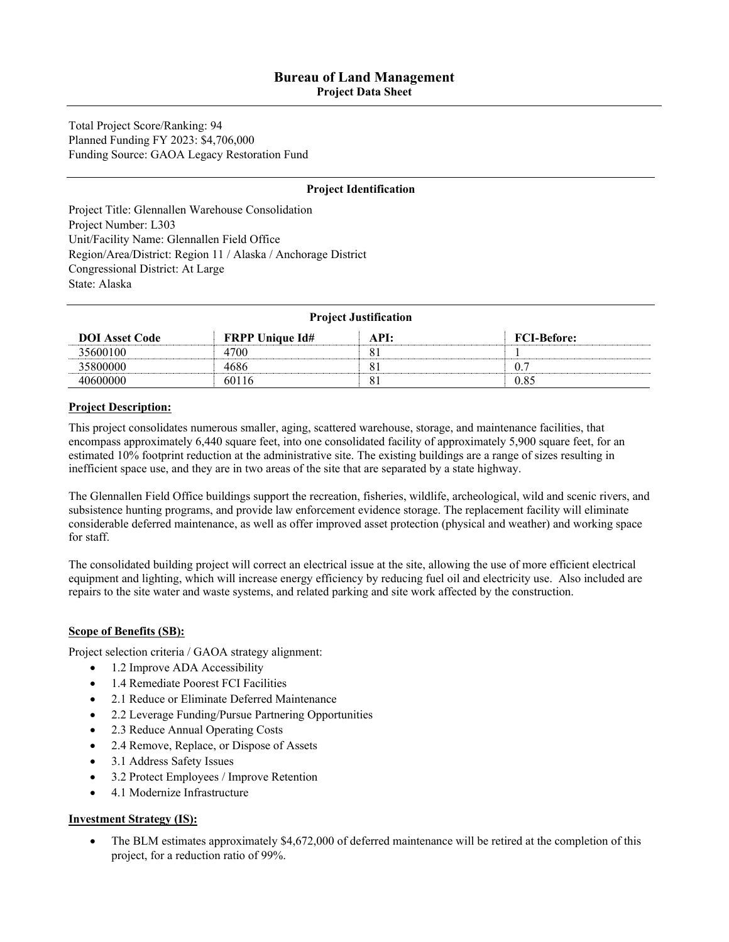**Project Data Sheet** 

Total Project Score/Ranking: 94 Planned Funding FY 2023: \$4,706,000 Funding Source: GAOA Legacy Restoration Fund

#### **Project Identification**

Project Title: Glennallen Warehouse Consolidation Project Number: L303 Unit/Facility Name: Glennallen Field Office Region/Area/District: Region 11 / Alaska / Anchorage District Congressional District: At Large State: Alaska

| <b>Project Justification</b> |                        |      |                    |
|------------------------------|------------------------|------|--------------------|
| <b>DOI</b> Asset Code        | <b>FRPP Unique Id#</b> | API: | <b>FCI-Before:</b> |
| 35600100                     | 4700                   | 81   |                    |
| 35800000                     | 4686                   | Ō.   | 0.7                |
| 40600000                     | 60116                  |      | 0.85               |

#### **Project Description:**

This project consolidates numerous smaller, aging, scattered warehouse, storage, and maintenance facilities, that encompass approximately 6,440 square feet, into one consolidated facility of approximately 5,900 square feet, for an estimated 10% footprint reduction at the administrative site. The existing buildings are a range of sizes resulting in inefficient space use, and they are in two areas of the site that are separated by a state highway.

The Glennallen Field Office buildings support the recreation, fisheries, wildlife, archeological, wild and scenic rivers, and subsistence hunting programs, and provide law enforcement evidence storage. The replacement facility will eliminate considerable deferred maintenance, as well as offer improved asset protection (physical and weather) and working space for staff.

The consolidated building project will correct an electrical issue at the site, allowing the use of more efficient electrical equipment and lighting, which will increase energy efficiency by reducing fuel oil and electricity use. Also included are repairs to the site water and waste systems, and related parking and site work affected by the construction.

#### **Scope of Benefits (SB):**

Project selection criteria / GAOA strategy alignment:

- 1.2 Improve ADA Accessibility
- 1.4 Remediate Poorest FCI Facilities
- 2.1 Reduce or Eliminate Deferred Maintenance
- 2.2 Leverage Funding/Pursue Partnering Opportunities
- 2.3 Reduce Annual Operating Costs
- 2.4 Remove, Replace, or Dispose of Assets
- 3.1 Address Safety Issues
- 3.2 Protect Employees / Improve Retention
- 4.1 Modernize Infrastructure

#### **Investment Strategy (IS):**

• The BLM estimates approximately \$4,672,000 of deferred maintenance will be retired at the completion of this project, for a reduction ratio of 99%.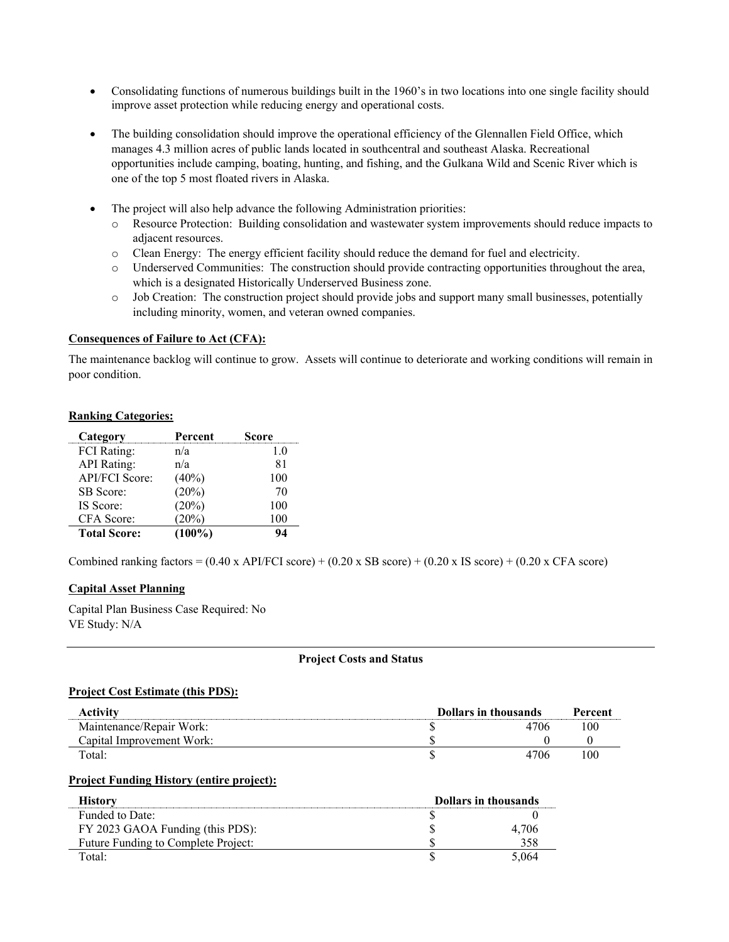- Consolidating functions of numerous buildings built in the 1960's in two locations into one single facility should improve asset protection while reducing energy and operational costs.
- The building consolidation should improve the operational efficiency of the Glennallen Field Office, which manages 4.3 million acres of public lands located in southcentral and southeast Alaska. Recreational opportunities include camping, boating, hunting, and fishing, and the Gulkana Wild and Scenic River which is one of the top 5 most floated rivers in Alaska.
- The project will also help advance the following Administration priorities:
	- o Resource Protection: Building consolidation and wastewater system improvements should reduce impacts to adjacent resources.
	- o Clean Energy: The energy efficient facility should reduce the demand for fuel and electricity.
	- o Underserved Communities: The construction should provide contracting opportunities throughout the area, which is a designated Historically Underserved Business zone.
	- o Job Creation: The construction project should provide jobs and support many small businesses, potentially including minority, women, and veteran owned companies.

#### **Consequences of Failure to Act (CFA):**

The maintenance backlog will continue to grow. Assets will continue to deteriorate and working conditions will remain in poor condition.

#### **Ranking Categories:**

| Category            | Percent   | Score |
|---------------------|-----------|-------|
| <b>FCI</b> Rating:  | n/a       | 1.0   |
| <b>API</b> Rating:  | n/a       | 81    |
| API/FCI Score:      | $(40\%)$  | 100   |
| <b>SB</b> Score:    | (20%)     | 70    |
| IS Score:           | (20%)     | 100   |
| CFA Score:          | $20\%)$   | 100   |
| <b>Total Score:</b> | $(100\%)$ | 94    |

Combined ranking factors =  $(0.40 \times API/FCI score) + (0.20 \times SB score) + (0.20 \times IS score) + (0.20 \times CFA score)$ 

#### **Capital Asset Planning**

Capital Plan Business Case Required: No VE Study: N/A

#### **Project Costs and Status**

#### **Project Cost Estimate (this PDS):**

| <b>Activity</b>           | <b>Dollars in thousands</b> |      | Percent |
|---------------------------|-----------------------------|------|---------|
| Maintenance/Repair Work:  |                             | 4706 | 100     |
| Capital Improvement Work: |                             |      |         |
| Total:                    |                             | 4706 | 100     |

#### **Project Funding History (entire project):**

| History                             | <b>Dollars in thousands</b> |       |
|-------------------------------------|-----------------------------|-------|
| Funded to Date:                     |                             |       |
| FY 2023 GAOA Funding (this PDS):    |                             |       |
| Future Funding to Complete Project: |                             |       |
| Fotal:                              |                             | 5 064 |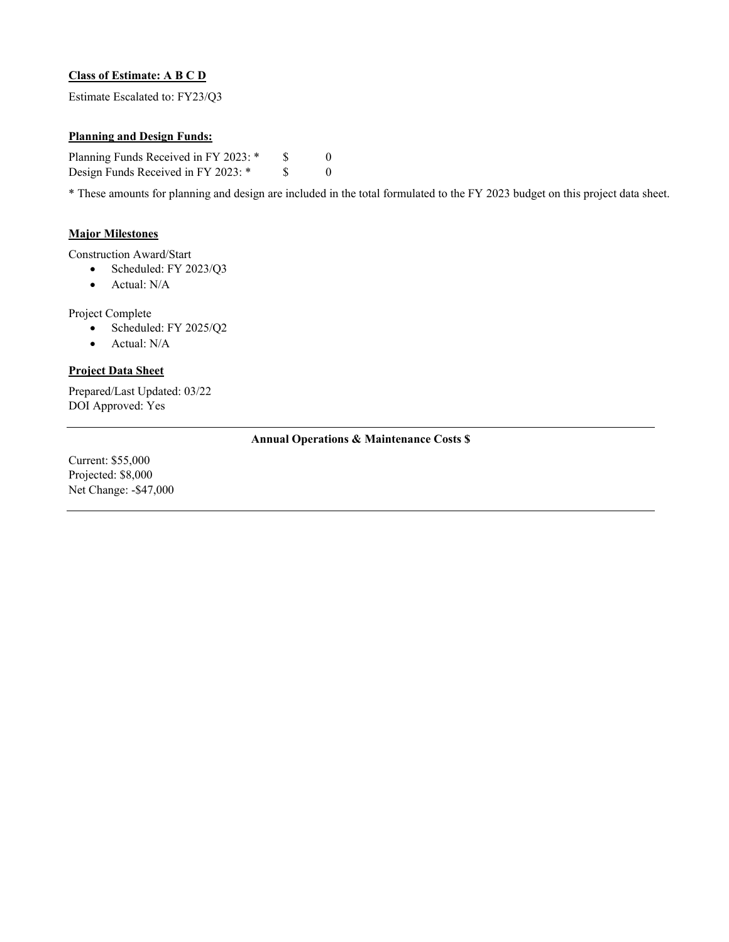#### **Class of Estimate: A B C D**

Estimate Escalated to: FY23/Q3

#### **Planning and Design Funds:**

Planning Funds Received in FY 2023: \* \$ 0 Design Funds Received in FY 2023: \* \$ 0

\* These amounts for planning and design are included in the total formulated to the FY 2023 budget on this project data sheet.

#### **Major Milestones**

Construction Award/Start

- Scheduled: FY 2023/Q3
	- Actual: N/A

Project Complete

- Scheduled: FY 2025/Q2
- Actual: N/A

#### **Project Data Sheet**

Prepared/Last Updated: 03/22 DOI Approved: Yes

#### **Annual Operations & Maintenance Costs \$**

Current: \$55,000 Projected: \$8,000 Net Change: -\$47,000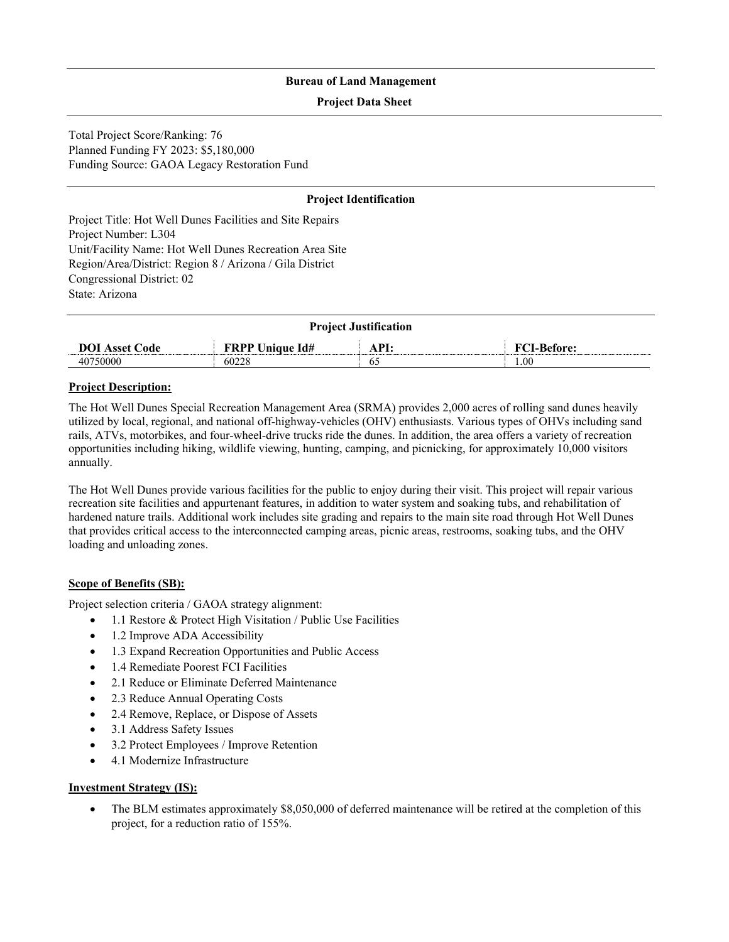#### **Project Data Sheet**

Total Project Score/Ranking: 76 Planned Funding FY 2023: \$5,180,000 Funding Source: GAOA Legacy Restoration Fund

#### **Project Identification**

Project Title: Hot Well Dunes Facilities and Site Repairs Project Number: L304 Unit/Facility Name: Hot Well Dunes Recreation Area Site Region/Area/District: Region 8 / Arizona / Gila District Congressional District: 02 State: Arizona

| <b>Project Justification</b> |                        |      |                    |
|------------------------------|------------------------|------|--------------------|
| <b>DOI</b> Asset Code        | <b>FRPP Unique Id#</b> | API: | <b>FCI-Before:</b> |
| 40750000                     | 60228                  | ъ٠   | .06                |

#### **Project Description:**

The Hot Well Dunes Special Recreation Management Area (SRMA) provides 2,000 acres of rolling sand dunes heavily utilized by local, regional, and national off-highway-vehicles (OHV) enthusiasts. Various types of OHVs including sand rails, ATVs, motorbikes, and four-wheel-drive trucks ride the dunes. In addition, the area offers a variety of recreation opportunities including hiking, wildlife viewing, hunting, camping, and picnicking, for approximately 10,000 visitors annually.

The Hot Well Dunes provide various facilities for the public to enjoy during their visit. This project will repair various recreation site facilities and appurtenant features, in addition to water system and soaking tubs, and rehabilitation of hardened nature trails. Additional work includes site grading and repairs to the main site road through Hot Well Dunes that provides critical access to the interconnected camping areas, picnic areas, restrooms, soaking tubs, and the OHV loading and unloading zones.

#### **Scope of Benefits (SB):**

Project selection criteria / GAOA strategy alignment:

- 1.1 Restore & Protect High Visitation / Public Use Facilities
- 1.2 Improve ADA Accessibility
- 1.3 Expand Recreation Opportunities and Public Access
- 1.4 Remediate Poorest FCI Facilities
- 2.1 Reduce or Eliminate Deferred Maintenance
- 2.3 Reduce Annual Operating Costs
- 2.4 Remove, Replace, or Dispose of Assets
- 3.1 Address Safety Issues
- 3.2 Protect Employees / Improve Retention
- 4.1 Modernize Infrastructure

#### **Investment Strategy (IS):**

• The BLM estimates approximately \$8,050,000 of deferred maintenance will be retired at the completion of this project, for a reduction ratio of 155%.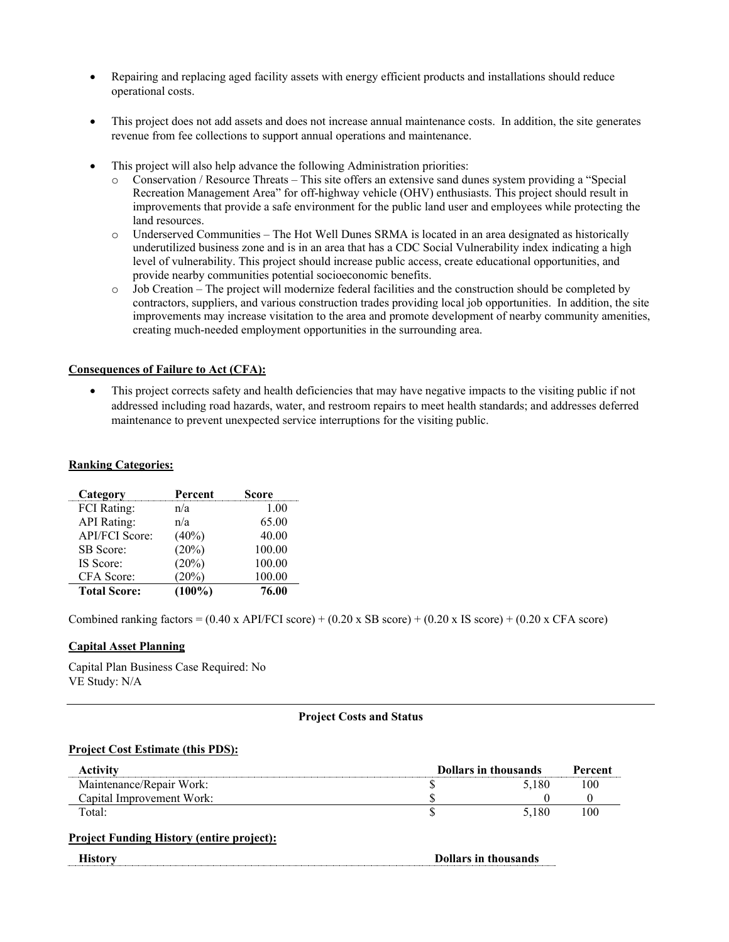- Repairing and replacing aged facility assets with energy efficient products and installations should reduce operational costs.
- This project does not add assets and does not increase annual maintenance costs. In addition, the site generates revenue from fee collections to support annual operations and maintenance.
- This project will also help advance the following Administration priorities:
	- o Conservation / Resource Threats This site offers an extensive sand dunes system providing a "Special Recreation Management Area" for off-highway vehicle (OHV) enthusiasts. This project should result in improvements that provide a safe environment for the public land user and employees while protecting the land resources.
	- o Underserved Communities The Hot Well Dunes SRMA is located in an area designated as historically underutilized business zone and is in an area that has a CDC Social Vulnerability index indicating a high level of vulnerability. This project should increase public access, create educational opportunities, and provide nearby communities potential socioeconomic benefits.
	- $\circ$  Job Creation The project will modernize federal facilities and the construction should be completed by contractors, suppliers, and various construction trades providing local job opportunities. In addition, the site improvements may increase visitation to the area and promote development of nearby community amenities, creating much-needed employment opportunities in the surrounding area.

#### **Consequences of Failure to Act (CFA):**

• This project corrects safety and health deficiencies that may have negative impacts to the visiting public if not addressed including road hazards, water, and restroom repairs to meet health standards; and addresses deferred maintenance to prevent unexpected service interruptions for the visiting public.

#### **Ranking Categories:**

| Category              | Percent   | Score  |
|-----------------------|-----------|--------|
| <b>FCI</b> Rating:    | n/a       | 1.00   |
| <b>API</b> Rating:    | n/a       | 65.00  |
| <b>API/FCI Score:</b> | $(40\%)$  | 40.00  |
| SB Score:             | (20%)     | 100.00 |
| IS Score:             | (20%)     | 100.00 |
| CFA Score:            | (20%)     | 100.00 |
| <b>Total Score:</b>   | $(100\%)$ | 76.00  |

Combined ranking factors =  $(0.40 \times API/FCI score) + (0.20 \times SB score) + (0.20 \times IS score) + (0.20 \times CFA score)$ 

#### **Capital Asset Planning**

Capital Plan Business Case Required: No VE Study: N/A

#### **Project Costs and Status**

#### **Project Cost Estimate (this PDS):**

| <b>Activity</b>                                  | <b>Dollars in thousands</b> | Percent |
|--------------------------------------------------|-----------------------------|---------|
| Maintenance/Repair Work:                         | 5.180                       | 100     |
| Capital Improvement Work:                        |                             |         |
| Total:                                           | 5.180                       | 100     |
| <b>Project Funding History (entire project):</b> |                             |         |
| <b>History</b>                                   | <b>Dollars in thousands</b> |         |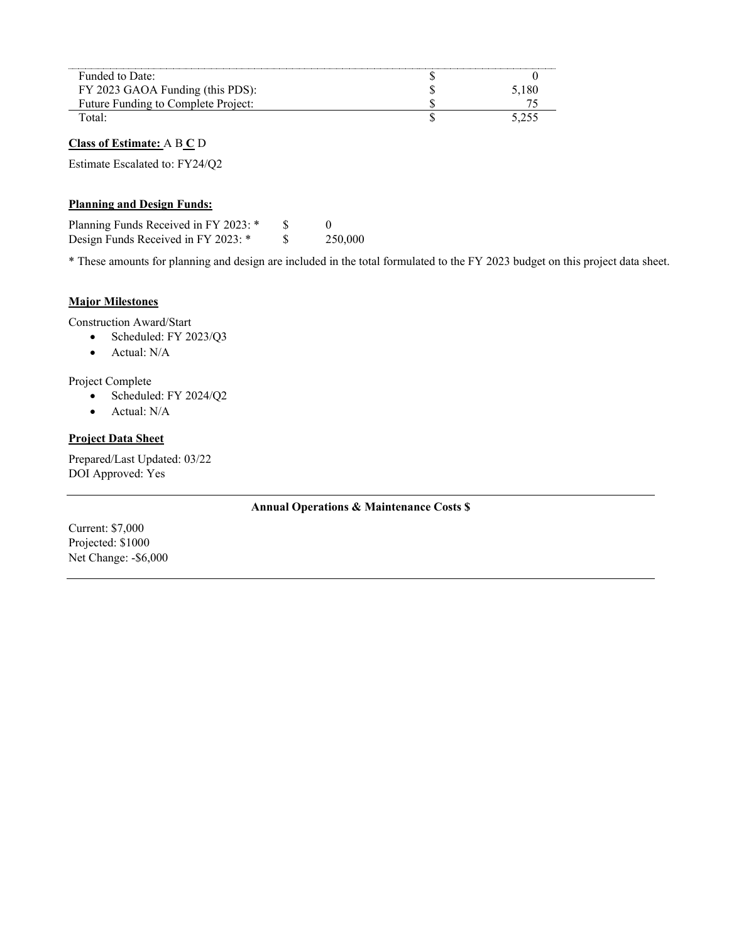| Funded to Date:                     |       |
|-------------------------------------|-------|
| FY 2023 GAOA Funding (this PDS):    | 5,180 |
| Future Funding to Complete Project: |       |
| Total:                              | 5.255 |
| <b>Class of Estimate:</b> A B C D   |       |
| Estimate Escalated to: FY24/Q2      |       |

#### **Planning and Design Funds:**

| Planning Funds Received in FY 2023: * |         |
|---------------------------------------|---------|
| Design Funds Received in FY 2023: *   | 250,000 |

\* These amounts for planning and design are included in the total formulated to the FY 2023 budget on this project data sheet.

#### **Major Milestones**

Construction Award/Start

- Scheduled: FY 2023/Q3
- Actual: N/A

Project Complete

- Scheduled: FY 2024/Q2
- Actual: N/A

#### **Project Data Sheet**

Prepared/Last Updated: 03/22 DOI Approved: Yes

#### **Annual Operations & Maintenance Costs \$**

Current: \$7,000 Projected: \$1000 Net Change: -\$6,000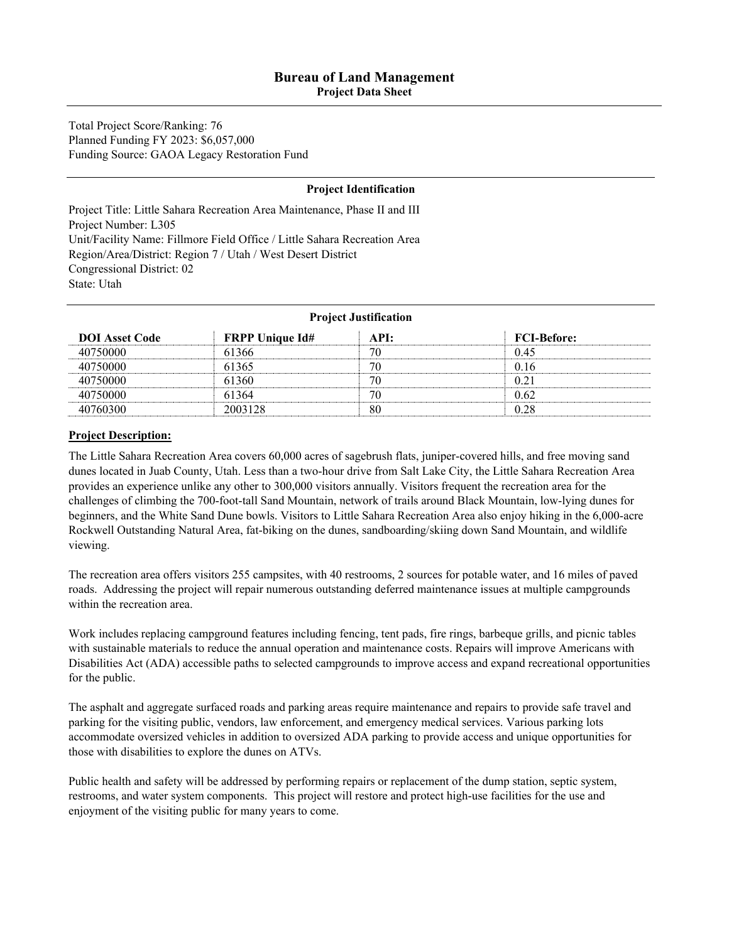**Project Data Sheet** 

Total Project Score/Ranking: 76 Planned Funding FY 2023: \$6,057,000 Funding Source: GAOA Legacy Restoration Fund

#### **Project Identification**

Project Title: Little Sahara Recreation Area Maintenance, Phase II and III Project Number: L305 Unit/Facility Name: Fillmore Field Office / Little Sahara Recreation Area Region/Area/District: Region 7 / Utah / West Desert District Congressional District: 02 State: Utah

| <b>Project Justification</b> |                        |      |                    |
|------------------------------|------------------------|------|--------------------|
| <b>DOI</b> Asset Code        | <b>FRPP Unique Id#</b> | API: | <b>FCI-Before:</b> |
| 40750000                     | 61366                  | 70   | 0.45               |
| 40750000                     | 61365                  | 70   | 0.16               |
| 40750000                     | 61360                  | 70   | 0.21               |
| 40750000                     | 61364                  | 70   | 0.62               |
| 40760300                     | 2003128                | 80   | 0.28               |

#### **Project Description:**

The Little Sahara Recreation Area covers 60,000 acres of sagebrush flats, juniper-covered hills, and free moving sand dunes located in Juab County, Utah. Less than a two-hour drive from Salt Lake City, the Little Sahara Recreation Area provides an experience unlike any other to 300,000 visitors annually. Visitors frequent the recreation area for the challenges of climbing the 700-foot-tall Sand Mountain, network of trails around Black Mountain, low-lying dunes for beginners, and the White Sand Dune bowls. Visitors to Little Sahara Recreation Area also enjoy hiking in the 6,000-acre Rockwell Outstanding Natural Area, fat-biking on the dunes, sandboarding/skiing down Sand Mountain, and wildlife viewing.

The recreation area offers visitors 255 campsites, with 40 restrooms, 2 sources for potable water, and 16 miles of paved roads. Addressing the project will repair numerous outstanding deferred maintenance issues at multiple campgrounds within the recreation area.

Work includes replacing campground features including fencing, tent pads, fire rings, barbeque grills, and picnic tables with sustainable materials to reduce the annual operation and maintenance costs. Repairs will improve Americans with Disabilities Act (ADA) accessible paths to selected campgrounds to improve access and expand recreational opportunities for the public.

The asphalt and aggregate surfaced roads and parking areas require maintenance and repairs to provide safe travel and parking for the visiting public, vendors, law enforcement, and emergency medical services. Various parking lots accommodate oversized vehicles in addition to oversized ADA parking to provide access and unique opportunities for those with disabilities to explore the dunes on ATVs.

Public health and safety will be addressed by performing repairs or replacement of the dump station, septic system, restrooms, and water system components. This project will restore and protect high-use facilities for the use and enjoyment of the visiting public for many years to come.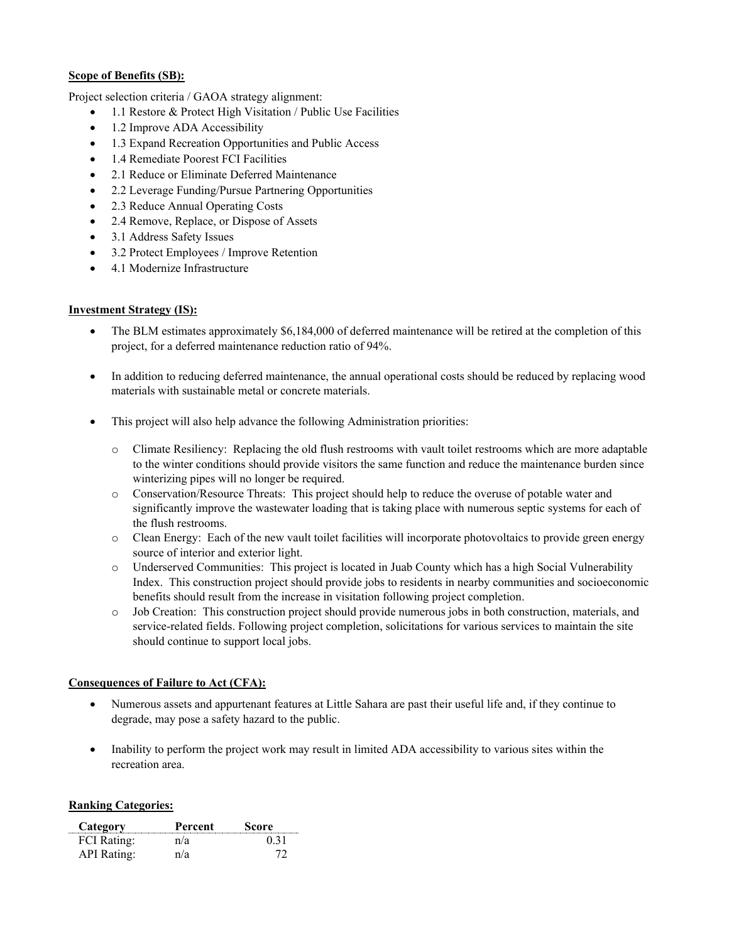#### **Scope of Benefits (SB):**

Project selection criteria / GAOA strategy alignment:

- 1.1 Restore & Protect High Visitation / Public Use Facilities
- 1.2 Improve ADA Accessibility
- 1.3 Expand Recreation Opportunities and Public Access
- 1.4 Remediate Poorest FCI Facilities
- 2.1 Reduce or Eliminate Deferred Maintenance
- 2.2 Leverage Funding/Pursue Partnering Opportunities
- 2.3 Reduce Annual Operating Costs
- 2.4 Remove, Replace, or Dispose of Assets
- 3.1 Address Safety Issues
- 3.2 Protect Employees / Improve Retention
- 4.1 Modernize Infrastructure

#### **Investment Strategy (IS):**

- The BLM estimates approximately \$6,184,000 of deferred maintenance will be retired at the completion of this project, for a deferred maintenance reduction ratio of 94%.
- In addition to reducing deferred maintenance, the annual operational costs should be reduced by replacing wood materials with sustainable metal or concrete materials.
- This project will also help advance the following Administration priorities:
	- o Climate Resiliency: Replacing the old flush restrooms with vault toilet restrooms which are more adaptable to the winter conditions should provide visitors the same function and reduce the maintenance burden since winterizing pipes will no longer be required.
	- o Conservation/Resource Threats: This project should help to reduce the overuse of potable water and significantly improve the wastewater loading that is taking place with numerous septic systems for each of the flush restrooms.
	- o Clean Energy: Each of the new vault toilet facilities will incorporate photovoltaics to provide green energy source of interior and exterior light.
	- o Underserved Communities: This project is located in Juab County which has a high Social Vulnerability Index. This construction project should provide jobs to residents in nearby communities and socioeconomic benefits should result from the increase in visitation following project completion.
	- o Job Creation: This construction project should provide numerous jobs in both construction, materials, and service-related fields. Following project completion, solicitations for various services to maintain the site should continue to support local jobs.

#### **Consequences of Failure to Act (CFA):**

- Numerous assets and appurtenant features at Little Sahara are past their useful life and, if they continue to degrade, may pose a safety hazard to the public.
- Inability to perform the project work may result in limited ADA accessibility to various sites within the recreation area.

#### **Ranking Categories:**

| Category           | Percent | Score. |
|--------------------|---------|--------|
| <b>FCI</b> Rating: | n/a     | 0.31   |
| API Rating:        | n/a     |        |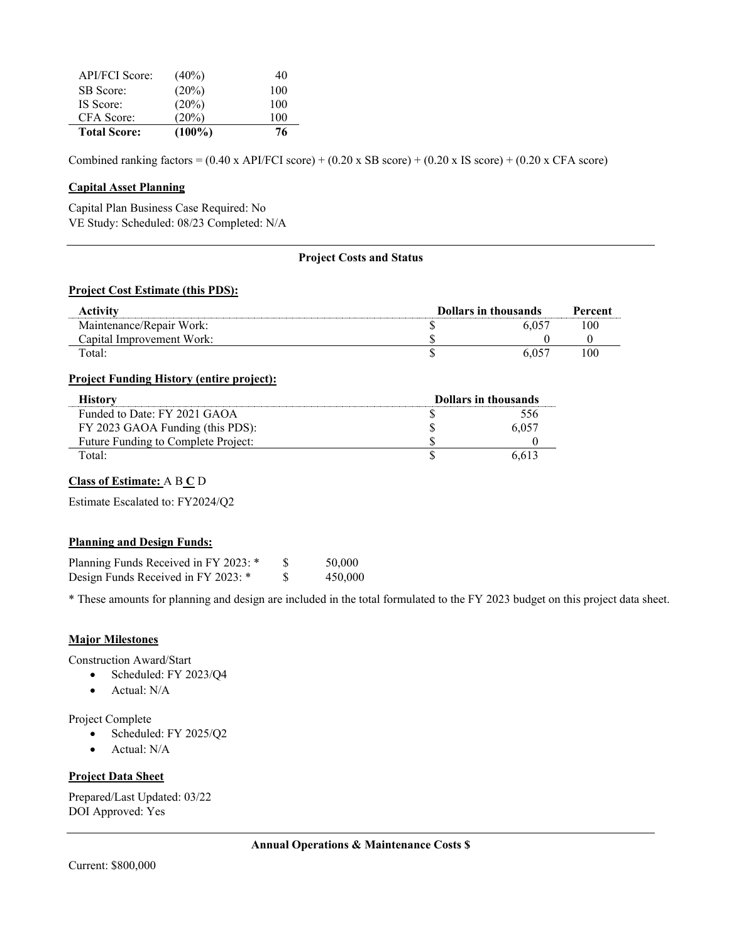| <b>API/FCI</b> Score: | $(40\%)$  | 40  |
|-----------------------|-----------|-----|
| SB Score:             | (20%)     | 100 |
| IS Score:             | (20%)     | 100 |
| CFA Score:            | $(20\%)$  | 100 |
| <b>Total Score:</b>   | $(100\%)$ | 76  |

Combined ranking factors =  $(0.40 \times API/FCI score) + (0.20 \times SB score) + (0.20 \times IS score) + (0.20 \times CFA score)$ 

#### **Capital Asset Planning**

 $\overline{a}$ 

Capital Plan Business Case Required: No VE Study: Scheduled: 08/23 Completed: N/A

#### **Project Costs and Status**

#### **Project Cost Estimate (this PDS):**

| Activity                  | <b>Dollars in thousands</b> |  | Percent |
|---------------------------|-----------------------------|--|---------|
| Maintenance/Repair Work:  |                             |  | 00      |
| Capital Improvement Work: |                             |  |         |
| Total:                    |                             |  | ۱۵۵     |

#### **Project Funding History (entire project):**

| Historv                             | <b>Dollars in thousands</b> |       |
|-------------------------------------|-----------------------------|-------|
| Funded to Date: FY 2021 GAOA        |                             |       |
| FY 2023 GAOA Funding (this PDS):    |                             | 6.057 |
| Future Funding to Complete Project: |                             |       |
| Total·                              |                             |       |

#### **Class of Estimate:** A B **C** D

Estimate Escalated to: FY2024/Q2

#### **Planning and Design Funds:**

| Planning Funds Received in FY 2023: * | 50,000  |
|---------------------------------------|---------|
| Design Funds Received in FY 2023: *   | 450,000 |

\* These amounts for planning and design are included in the total formulated to the FY 2023 budget on this project data sheet.

#### **Major Milestones**

Construction Award/Start

- Scheduled: FY 2023/Q4
- Actual: N/A

Project Complete

- Scheduled: FY 2025/Q2
- Actual: N/A

#### **Project Data Sheet**

Prepared/Last Updated: 03/22 DOI Approved: Yes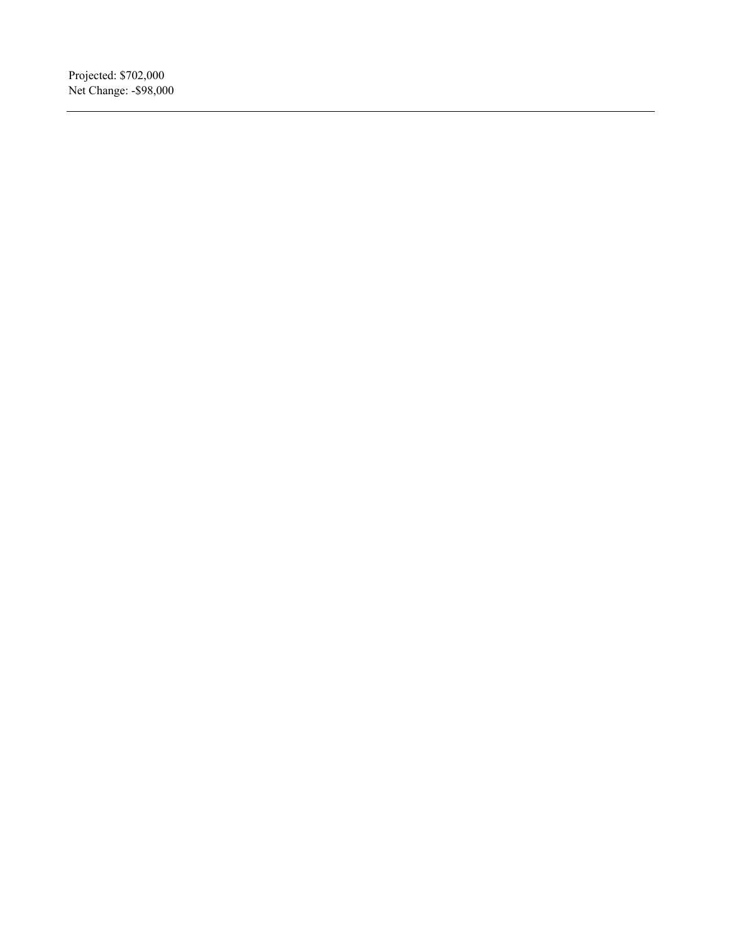Projected: \$702,000 Net Change: -\$98,000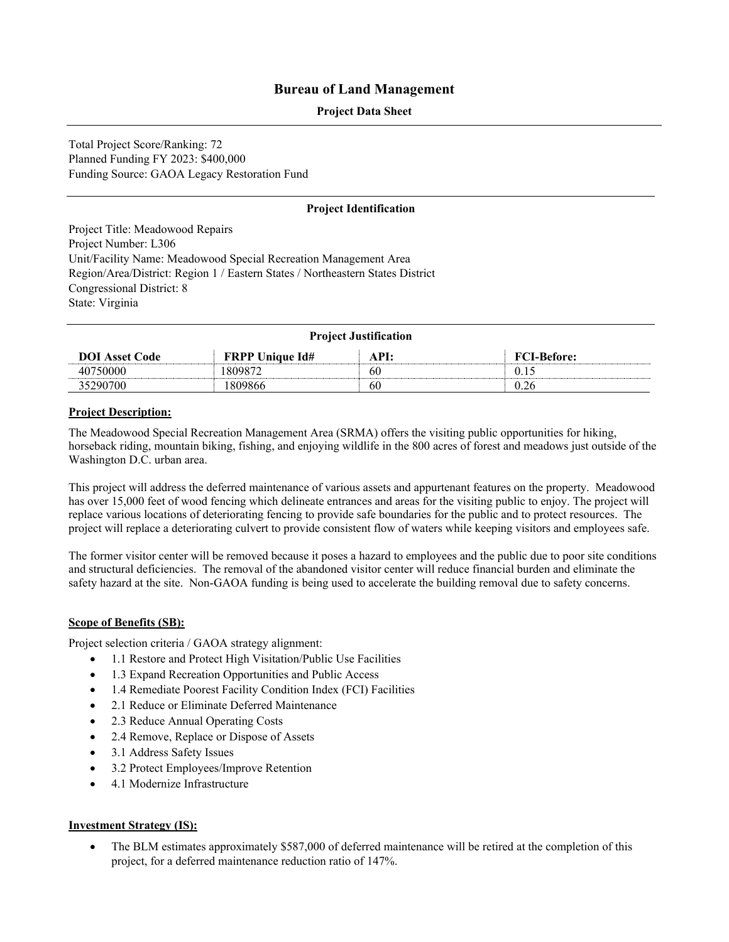#### **Project Data Sheet**

Total Project Score/Ranking: 72 Planned Funding FY 2023: \$400,000 Funding Source: GAOA Legacy Restoration Fund

#### **Project Identification**

Project Title: Meadowood Repairs Project Number: L306 Unit/Facility Name: Meadowood Special Recreation Management Area Region/Area/District: Region 1 / Eastern States / Northeastern States District Congressional District: 8 State: Virginia

| <b>Project Justification</b> |                        |      |                    |  |
|------------------------------|------------------------|------|--------------------|--|
| <b>DOI</b> Asset Code        | <b>FRPP Unique Id#</b> | API: | <b>FCI-Before:</b> |  |
| 40750000                     | 1809872                | 60   | 0.15               |  |
| 35290700                     | 1809866                | 60   | 0.26               |  |

#### **Project Description:**

The Meadowood Special Recreation Management Area (SRMA) offers the visiting public opportunities for hiking, horseback riding, mountain biking, fishing, and enjoying wildlife in the 800 acres of forest and meadows just outside of the Washington D.C. urban area.

This project will address the deferred maintenance of various assets and appurtenant features on the property. Meadowood has over 15,000 feet of wood fencing which delineate entrances and areas for the visiting public to enjoy. The project will replace various locations of deteriorating fencing to provide safe boundaries for the public and to protect resources. The project will replace a deteriorating culvert to provide consistent flow of waters while keeping visitors and employees safe.

The former visitor center will be removed because it poses a hazard to employees and the public due to poor site conditions and structural deficiencies. The removal of the abandoned visitor center will reduce financial burden and eliminate the safety hazard at the site. Non-GAOA funding is being used to accelerate the building removal due to safety concerns.

#### **Scope of Benefits (SB):**

Project selection criteria / GAOA strategy alignment:

- 1.1 Restore and Protect High Visitation/Public Use Facilities
- 1.3 Expand Recreation Opportunities and Public Access
- 1.4 Remediate Poorest Facility Condition Index (FCI) Facilities
- 2.1 Reduce or Eliminate Deferred Maintenance
- 2.3 Reduce Annual Operating Costs
- 2.4 Remove, Replace or Dispose of Assets
- 3.1 Address Safety Issues
- 3.2 Protect Employees/Improve Retention
- 4.1 Modernize Infrastructure

#### **Investment Strategy (IS):**

• The BLM estimates approximately \$587,000 of deferred maintenance will be retired at the completion of this project, for a deferred maintenance reduction ratio of 147%.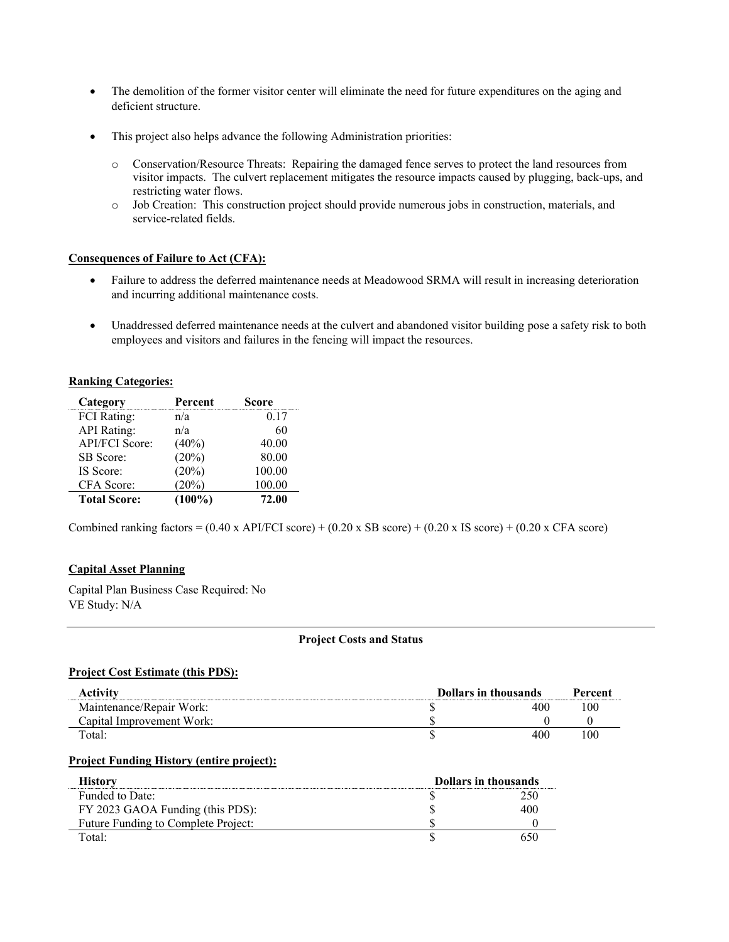- The demolition of the former visitor center will eliminate the need for future expenditures on the aging and deficient structure.
- This project also helps advance the following Administration priorities:
	- o Conservation/Resource Threats: Repairing the damaged fence serves to protect the land resources from visitor impacts. The culvert replacement mitigates the resource impacts caused by plugging, back-ups, and restricting water flows.
	- o Job Creation: This construction project should provide numerous jobs in construction, materials, and service-related fields.

#### **Consequences of Failure to Act (CFA):**

- Failure to address the deferred maintenance needs at Meadowood SRMA will result in increasing deterioration and incurring additional maintenance costs.
- Unaddressed deferred maintenance needs at the culvert and abandoned visitor building pose a safety risk to both employees and visitors and failures in the fencing will impact the resources.

#### **Ranking Categories:**

| Category              | Percent   | Score  |
|-----------------------|-----------|--------|
| <b>FCI</b> Rating:    | n/a       | 0.17   |
| <b>API</b> Rating:    | n/a       | 60     |
| <b>API/FCI Score:</b> | $(40\%)$  | 40.00  |
| SB Score:             | (20%)     | 80.00  |
| IS Score:             | (20%)     | 100.00 |
| CFA Score:            | (20%)     | 100.00 |
| <b>Total Score:</b>   | $(100\%)$ | 72.00  |

Combined ranking factors =  $(0.40 \times API/FCI score) + (0.20 \times SB score) + (0.20 \times IS score) + (0.20 \times CFA score)$ 

#### **Capital Asset Planning**

Capital Plan Business Case Required: No VE Study: N/A

#### **Project Costs and Status**

#### **Project Cost Estimate (this PDS):**

| <b>Activity</b>           | <b>Dollars in thousands</b> |     | Percent |
|---------------------------|-----------------------------|-----|---------|
| Maintenance/Repair Work:  |                             | 400 | 100     |
| Capital Improvement Work: |                             |     |         |
| Total:                    |                             | 400 | 100     |

#### **Project Funding History (entire project):**

| Historv                             | <b>Dollars in thousands</b> |     |
|-------------------------------------|-----------------------------|-----|
| Funded to Date:                     |                             |     |
| FY 2023 GAOA Funding (this PDS):    |                             | 400 |
| Future Funding to Complete Project: |                             |     |
| $\text{Total} \cdot$                |                             |     |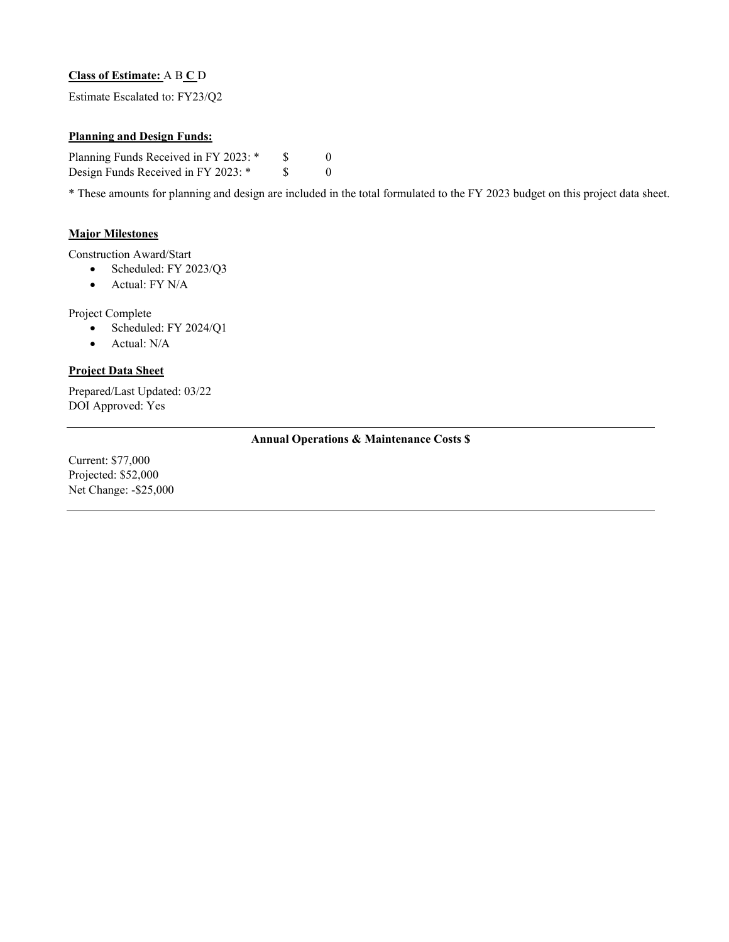#### **Class of Estimate:** A B **C** D

Estimate Escalated to: FY23/Q2

#### **Planning and Design Funds:**

Planning Funds Received in FY 2023: \* \$ 0 Design Funds Received in FY 2023: \* \$ 0

\* These amounts for planning and design are included in the total formulated to the FY 2023 budget on this project data sheet.

#### **Major Milestones**

Construction Award/Start

- Scheduled: FY 2023/Q3
	- Actual: FY N/A

Project Complete

- Scheduled: FY 2024/Q1
- Actual: N/A

#### **Project Data Sheet**

Prepared/Last Updated: 03/22 DOI Approved: Yes

#### **Annual Operations & Maintenance Costs \$**

Current: \$77,000 Projected: \$52,000 Net Change: -\$25,000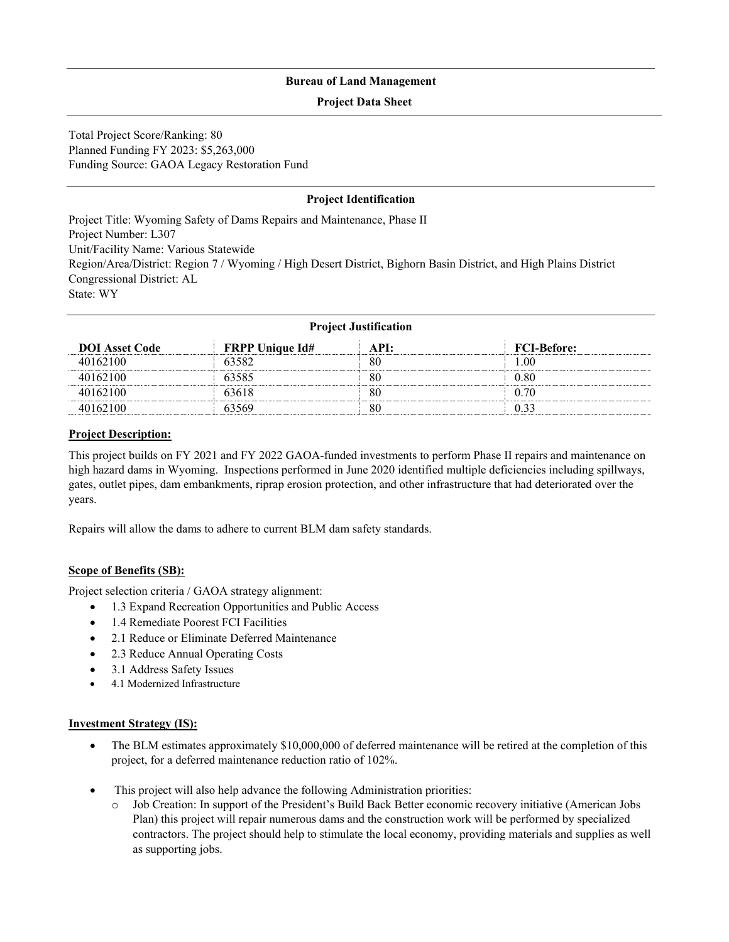#### **Project Data Sheet**

Total Project Score/Ranking: 80 Planned Funding FY 2023: \$5,263,000 Funding Source: GAOA Legacy Restoration Fund

#### **Project Identification**

Project Title: Wyoming Safety of Dams Repairs and Maintenance, Phase II Project Number: L307 Unit/Facility Name: Various Statewide Region/Area/District: Region 7 / Wyoming / High Desert District, Bighorn Basin District, and High Plains District Congressional District: AL State: WY

| <b>Project Justification</b> |                        |      |                    |
|------------------------------|------------------------|------|--------------------|
| <b>DOI</b> Asset Code        | <b>FRPP Unique Id#</b> | API: | <b>FCI-Before:</b> |
| 40162100                     | 63582                  | 80   | 1.00               |
| 40162100                     | 63585                  | 80   | 0.80               |
| 40162100                     | 63618                  | 80   | 0.70               |
| 40162100                     | 63569                  | 80   | 0.33               |

#### **Project Description:**

This project builds on FY 2021 and FY 2022 GAOA-funded investments to perform Phase II repairs and maintenance on high hazard dams in Wyoming. Inspections performed in June 2020 identified multiple deficiencies including spillways, gates, outlet pipes, dam embankments, riprap erosion protection, and other infrastructure that had deteriorated over the years.

Repairs will allow the dams to adhere to current BLM dam safety standards.

#### **Scope of Benefits (SB):**

Project selection criteria / GAOA strategy alignment:

- 1.3 Expand Recreation Opportunities and Public Access
- 1.4 Remediate Poorest FCI Facilities
- 2.1 Reduce or Eliminate Deferred Maintenance
- 2.3 Reduce Annual Operating Costs
- 3.1 Address Safety Issues
- 4.1 Modernized Infrastructure

#### **Investment Strategy (IS):**

- The BLM estimates approximately \$10,000,000 of deferred maintenance will be retired at the completion of this project, for a deferred maintenance reduction ratio of 102%.
- This project will also help advance the following Administration priorities:
	- o Job Creation: In support of the President's Build Back Better economic recovery initiative (American Jobs Plan) this project will repair numerous dams and the construction work will be performed by specialized contractors. The project should help to stimulate the local economy, providing materials and supplies as well as supporting jobs.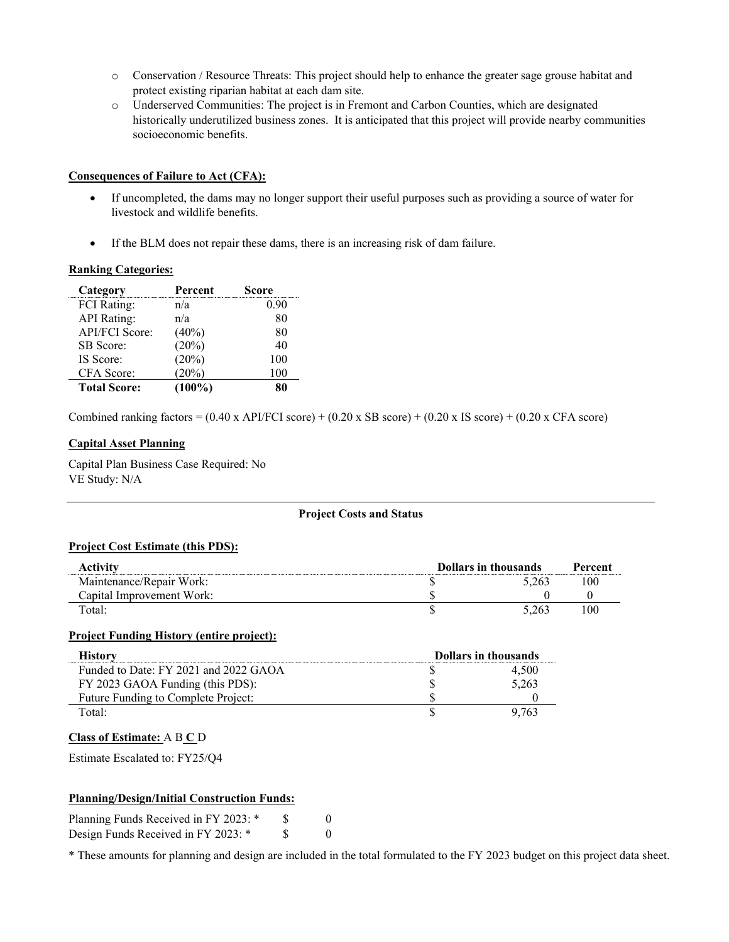- o Conservation / Resource Threats: This project should help to enhance the greater sage grouse habitat and protect existing riparian habitat at each dam site.
- o Underserved Communities: The project is in Fremont and Carbon Counties, which are designated historically underutilized business zones. It is anticipated that this project will provide nearby communities socioeconomic benefits.

#### **Consequences of Failure to Act (CFA):**

- If uncompleted, the dams may no longer support their useful purposes such as providing a source of water for livestock and wildlife benefits.
- If the BLM does not repair these dams, there is an increasing risk of dam failure.

#### **Ranking Categories:**

| Category              | Percent   | Score |
|-----------------------|-----------|-------|
| <b>FCI</b> Rating:    | n/a       | 0.90  |
| <b>API</b> Rating:    | n/a       | 80    |
| <b>API/FCI Score:</b> | $(40\%)$  | 80    |
| SB Score:             | (20%)     | 40    |
| IS Score:             | (20%)     | 100   |
| CFA Score:            | (20%)     | 100   |
| <b>Total Score:</b>   | $(100\%)$ |       |

Combined ranking factors =  $(0.40 \times API/FCI score) + (0.20 \times SB score) + (0.20 \times IS score) + (0.20 \times CFA score)$ 

#### **Capital Asset Planning**

Capital Plan Business Case Required: No VE Study: N/A

#### **Project Costs and Status**

#### **Project Cost Estimate (this PDS):**

| Activity                  | Dollars in thousands |       | Percent |
|---------------------------|----------------------|-------|---------|
| Maintenance/Repair Work:  |                      | 5.263 | 100     |
| Capital Improvement Work: |                      |       |         |
| Total:                    |                      | 5.263 | 100     |

#### **Project Funding History (entire project):**

| History                               | <b>Dollars in thousands</b> |       |
|---------------------------------------|-----------------------------|-------|
| Funded to Date: FY 2021 and 2022 GAOA |                             | 4.500 |
| FY 2023 GAOA Funding (this PDS):      |                             | 5,263 |
| Future Funding to Complete Project:   |                             |       |
| Total:                                |                             | 9.763 |

#### **Class of Estimate:** A B **C** D

Estimate Escalated to: FY25/Q4

#### **Planning/Design/Initial Construction Funds:**

| Planning Funds Received in FY 2023: * |  |
|---------------------------------------|--|
| Design Funds Received in FY 2023: *   |  |

\* These amounts for planning and design are included in the total formulated to the FY 2023 budget on this project data sheet.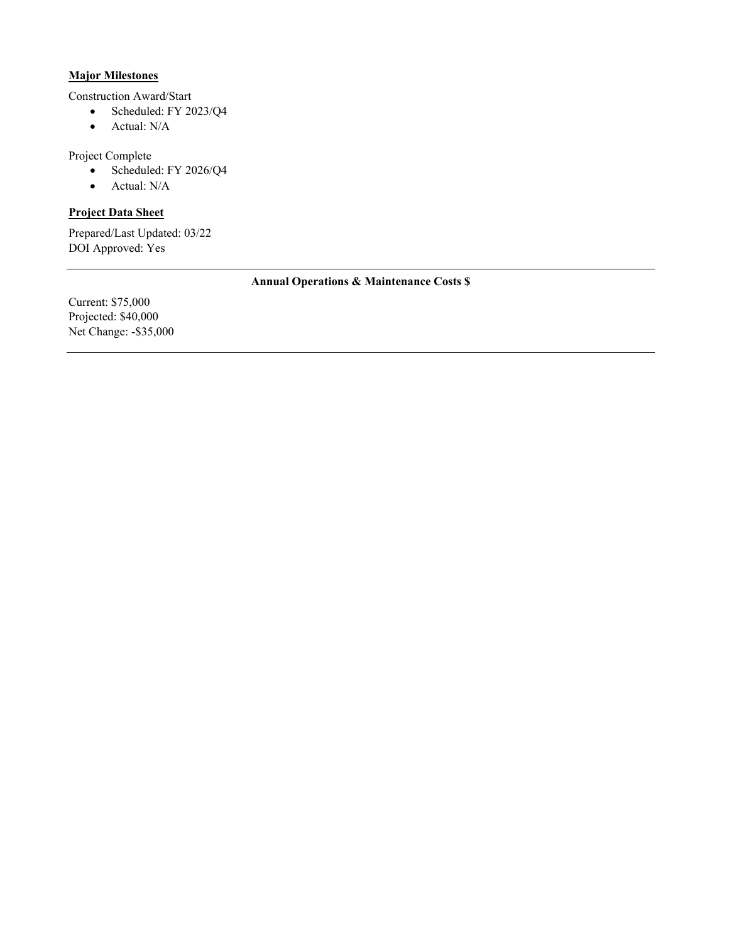#### **Major Milestones**

Construction Award/Start

- Scheduled: FY 2023/Q4
- Actual: N/A

Project Complete

- Scheduled: FY 2026/Q4
- Actual: N/A

### **Project Data Sheet**

Prepared/Last Updated: 03/22 DOI Approved: Yes

#### **Annual Operations & Maintenance Costs \$**

Current: \$75,000 Projected: \$40,000 Net Change: -\$35,000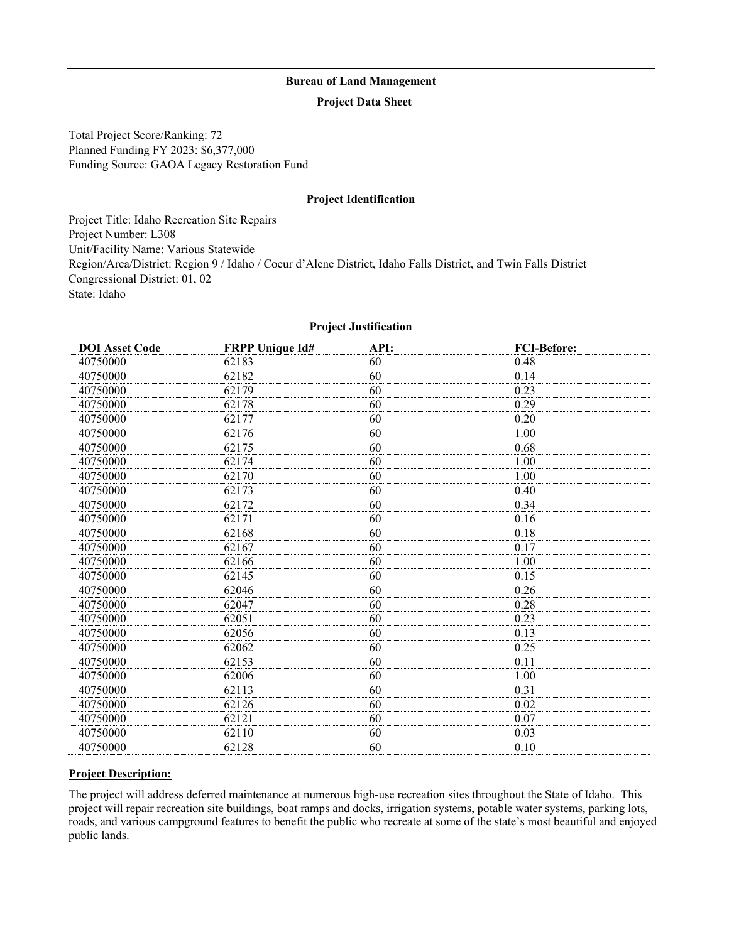#### **Project Data Sheet**

Total Project Score/Ranking: 72 Planned Funding FY 2023: \$6,377,000 Funding Source: GAOA Legacy Restoration Fund

#### **Project Identification**

Project Title: Idaho Recreation Site Repairs Project Number: L308 Unit/Facility Name: Various Statewide Region/Area/District: Region 9 / Idaho / Coeur d'Alene District, Idaho Falls District, and Twin Falls District Congressional District: 01, 02 State: Idaho

| <b>Project Justification</b> |                        |      |                    |  |
|------------------------------|------------------------|------|--------------------|--|
| <b>DOI</b> Asset Code        | <b>FRPP Unique Id#</b> | API: | <b>FCI-Before:</b> |  |
| 40750000                     | 62183                  | 60   | 0.48               |  |
| 40750000                     | 62182                  | 60   | 0.14               |  |
| 40750000                     | 62179                  | 60   | 0.23               |  |
| 40750000                     | 62178                  | 60   | 0.29               |  |
| 40750000                     | 62177                  | 60   | 0.20               |  |
| 40750000                     | 62176                  | 60   | 1.00               |  |
| 40750000                     | 62175                  | 60   | 0.68               |  |
| 40750000                     | 62174                  | 60   | 1.00               |  |
| 40750000                     | 62170                  | 60   | 1.00               |  |
| 40750000                     | 62173                  | 60   | 0.40               |  |
| 40750000                     | 62172                  | 60   | 0.34               |  |
| 40750000                     | 62171                  | 60   | 0.16               |  |
| 40750000                     | 62168                  | 60   | 0.18               |  |
| 40750000                     | 62167                  | 60   | 0.17               |  |
| 40750000                     | 62166                  | 60   | 1.00               |  |
| 40750000                     | 62145                  | 60   | 0.15               |  |
| 40750000                     | 62046                  | 60   | 0.26               |  |
| 40750000                     | 62047                  | 60   | 0.28               |  |
| 40750000                     | 62051                  | 60   | 0.23               |  |
| 40750000                     | 62056                  | 60   | 0.13               |  |
| 40750000                     | 62062                  | 60   | 0.25               |  |
| 40750000                     | 62153                  | 60   | 0.11               |  |
| 40750000                     | 62006                  | 60   | 1.00               |  |
| 40750000                     | 62113                  | 60   | 0.31               |  |
| 40750000                     | 62126                  | 60   | 0.02               |  |
| 40750000                     | 62121                  | 60   | 0.07               |  |
| 40750000                     | 62110                  | 60   | 0.03               |  |
| 40750000                     | 62128                  | 60   | 0.10               |  |

#### **Project Justification**

#### **Project Description:**

The project will address deferred maintenance at numerous high-use recreation sites throughout the State of Idaho. This project will repair recreation site buildings, boat ramps and docks, irrigation systems, potable water systems, parking lots, roads, and various campground features to benefit the public who recreate at some of the state's most beautiful and enjoyed public lands.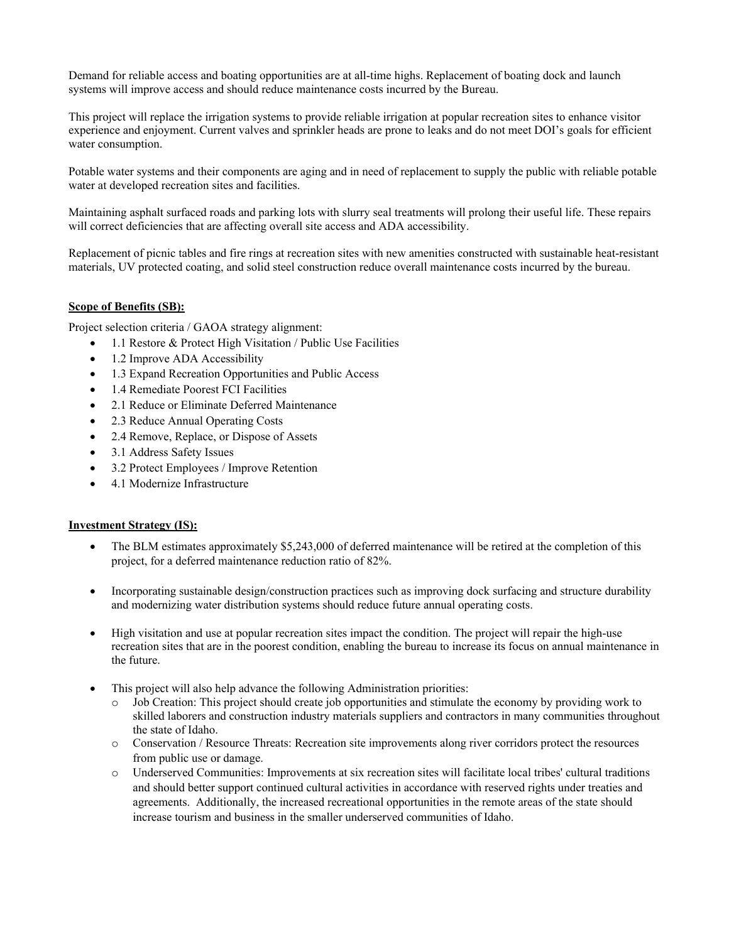Demand for reliable access and boating opportunities are at all-time highs. Replacement of boating dock and launch systems will improve access and should reduce maintenance costs incurred by the Bureau.

This project will replace the irrigation systems to provide reliable irrigation at popular recreation sites to enhance visitor experience and enjoyment. Current valves and sprinkler heads are prone to leaks and do not meet DOI's goals for efficient water consumption.

Potable water systems and their components are aging and in need of replacement to supply the public with reliable potable water at developed recreation sites and facilities.

Maintaining asphalt surfaced roads and parking lots with slurry seal treatments will prolong their useful life. These repairs will correct deficiencies that are affecting overall site access and ADA accessibility.

Replacement of picnic tables and fire rings at recreation sites with new amenities constructed with sustainable heat-resistant materials, UV protected coating, and solid steel construction reduce overall maintenance costs incurred by the bureau.

#### **Scope of Benefits (SB):**

Project selection criteria / GAOA strategy alignment:

- 1.1 Restore & Protect High Visitation / Public Use Facilities
- 1.2 Improve ADA Accessibility
- 1.3 Expand Recreation Opportunities and Public Access
- 1.4 Remediate Poorest FCI Facilities
- 2.1 Reduce or Eliminate Deferred Maintenance
- 2.3 Reduce Annual Operating Costs
- 2.4 Remove, Replace, or Dispose of Assets
- 3.1 Address Safety Issues
- 3.2 Protect Employees / Improve Retention
- 4.1 Modernize Infrastructure

#### **Investment Strategy (IS):**

- The BLM estimates approximately \$5,243,000 of deferred maintenance will be retired at the completion of this project, for a deferred maintenance reduction ratio of 82%.
- Incorporating sustainable design/construction practices such as improving dock surfacing and structure durability and modernizing water distribution systems should reduce future annual operating costs.
- High visitation and use at popular recreation sites impact the condition. The project will repair the high-use recreation sites that are in the poorest condition, enabling the bureau to increase its focus on annual maintenance in the future.
- This project will also help advance the following Administration priorities:
	- Job Creation: This project should create job opportunities and stimulate the economy by providing work to skilled laborers and construction industry materials suppliers and contractors in many communities throughout the state of Idaho.
	- o Conservation / Resource Threats: Recreation site improvements along river corridors protect the resources from public use or damage.
	- o Underserved Communities: Improvements at six recreation sites will facilitate local tribes' cultural traditions and should better support continued cultural activities in accordance with reserved rights under treaties and agreements. Additionally, the increased recreational opportunities in the remote areas of the state should increase tourism and business in the smaller underserved communities of Idaho.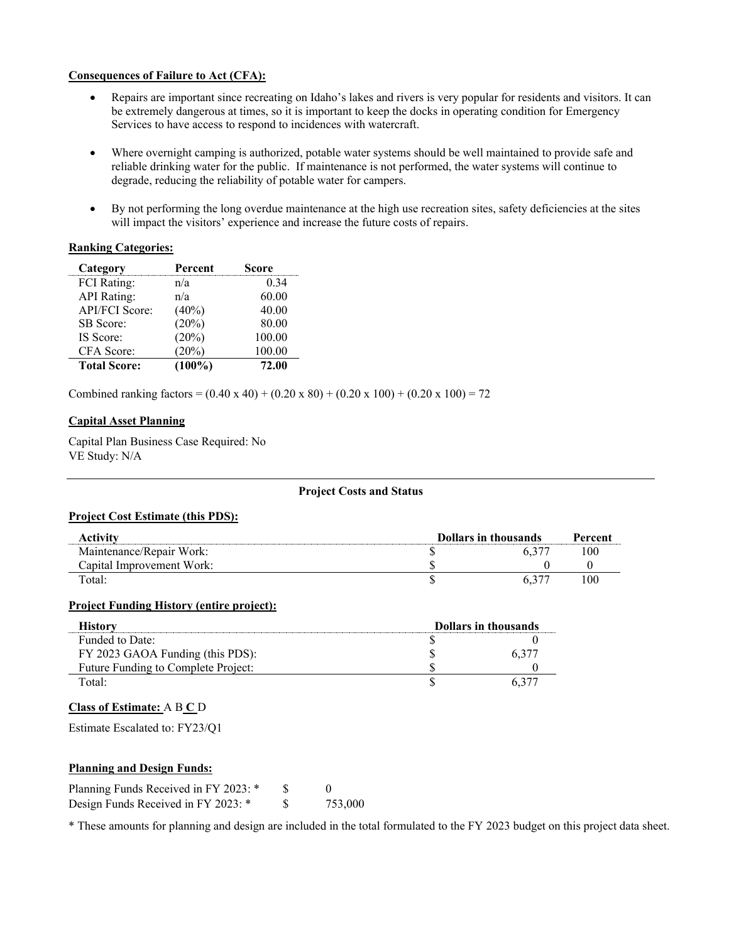#### **Consequences of Failure to Act (CFA):**

- Repairs are important since recreating on Idaho's lakes and rivers is very popular for residents and visitors. It can be extremely dangerous at times, so it is important to keep the docks in operating condition for Emergency Services to have access to respond to incidences with watercraft.
- Where overnight camping is authorized, potable water systems should be well maintained to provide safe and reliable drinking water for the public. If maintenance is not performed, the water systems will continue to degrade, reducing the reliability of potable water for campers.
- By not performing the long overdue maintenance at the high use recreation sites, safety deficiencies at the sites will impact the visitors' experience and increase the future costs of repairs.

#### **Ranking Categories:**

| Category              | Percent   | Score  |
|-----------------------|-----------|--------|
| <b>FCI</b> Rating:    | n/a       | 0.34   |
| <b>API</b> Rating:    | n/a       | 60.00  |
| <b>API/FCI Score:</b> | (40%)     | 40.00  |
| SB Score:             | (20%)     | 80.00  |
| IS Score:             | (20%)     | 100.00 |
| CFA Score:            | (20%)     | 100.00 |
| <b>Total Score:</b>   | $(100\%)$ | 72.00  |

Combined ranking factors =  $(0.40 \times 40) + (0.20 \times 80) + (0.20 \times 100) + (0.20 \times 100) = 72$ 

#### **Capital Asset Planning**

Capital Plan Business Case Required: No VE Study: N/A

#### **Project Costs and Status**

#### **Project Cost Estimate (this PDS):**

| Activity                  | <b>Dollars in thousands</b> |  | Percent |
|---------------------------|-----------------------------|--|---------|
| Maintenance/Repair Work:  |                             |  | 100     |
| Capital Improvement Work: |                             |  |         |
| Total:                    |                             |  | 100     |

#### **Project Funding History (entire project):**

| Historv                             | <b>Dollars in thousands</b> |      |
|-------------------------------------|-----------------------------|------|
| Funded to Date:                     |                             |      |
| FY 2023 GAOA Funding (this PDS):    |                             | 6.37 |
| Future Funding to Complete Project: |                             |      |
| Fotal:                              |                             |      |

#### **Class of Estimate:** A B **C** D

Estimate Escalated to: FY23/Q1

#### **Planning and Design Funds:**

| Planning Funds Received in FY 2023: * |         |
|---------------------------------------|---------|
| Design Funds Received in FY 2023: *   | 753,000 |

\* These amounts for planning and design are included in the total formulated to the FY 2023 budget on this project data sheet.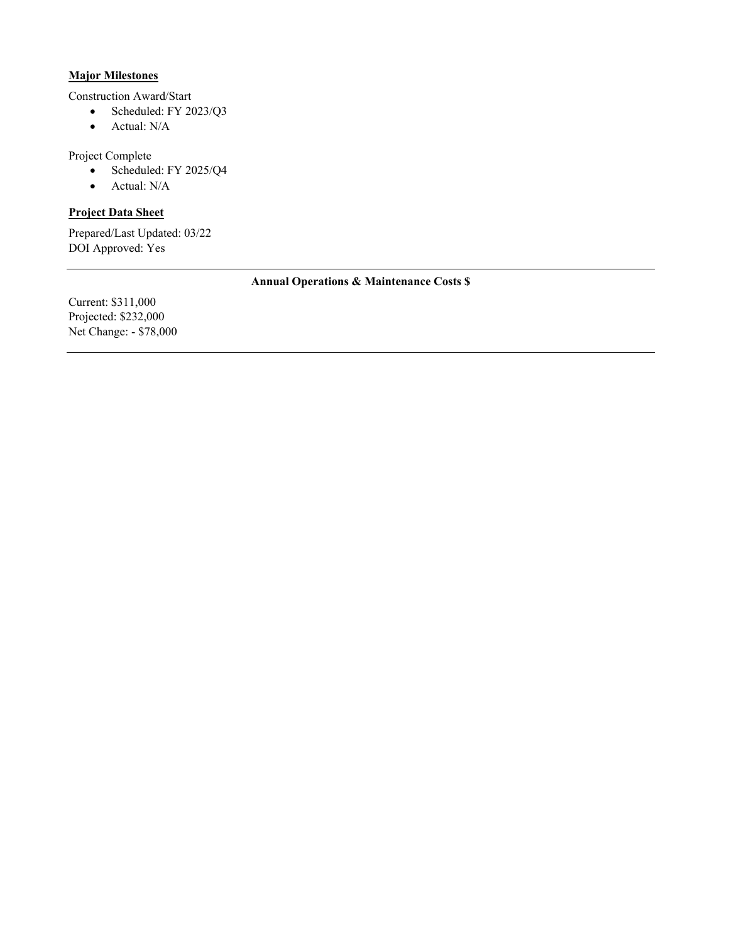#### **Major Milestones**

Construction Award/Start

- Scheduled: FY 2023/Q3
- Actual: N/A

Project Complete

- Scheduled: FY 2025/Q4
- Actual: N/A

### **Project Data Sheet**

Prepared/Last Updated: 03/22 DOI Approved: Yes

#### **Annual Operations & Maintenance Costs \$**

Current: \$311,000 Projected: \$232,000 Net Change: - \$78,000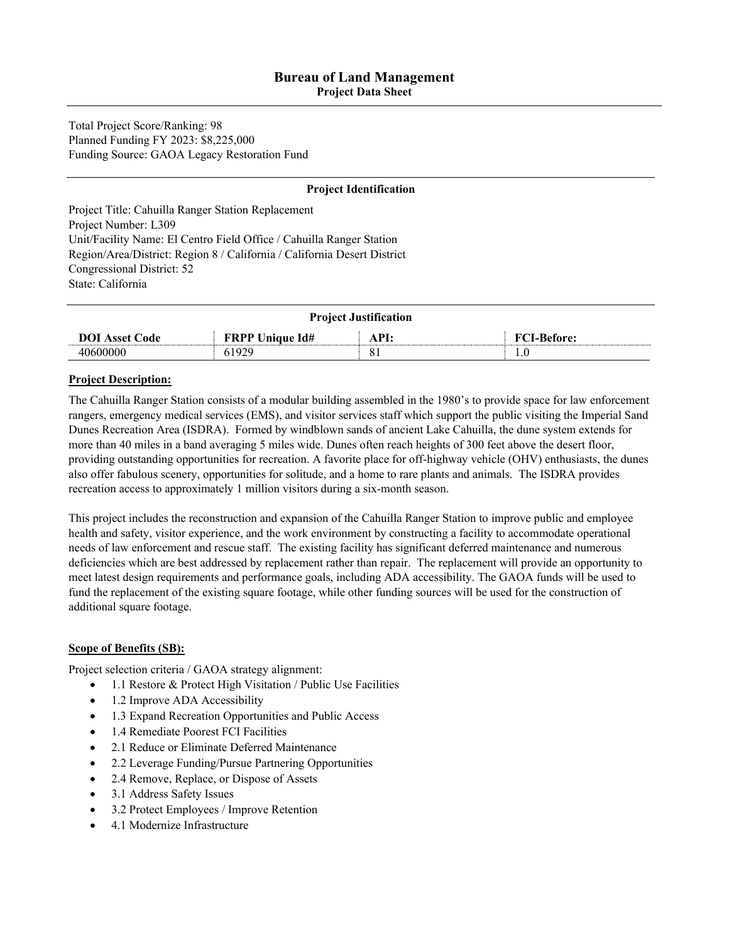**Project Data Sheet** 

Total Project Score/Ranking: 98 Planned Funding FY 2023: \$8,225,000 Funding Source: GAOA Legacy Restoration Fund

#### **Project Identification**

Project Title: Cahuilla Ranger Station Replacement Project Number: L309 Unit/Facility Name: El Centro Field Office / Cahuilla Ranger Station Region/Area/District: Region 8 / California / California Desert District Congressional District: 52 State: California

| <b>Project Justification</b> |                        |                     |                    |
|------------------------------|------------------------|---------------------|--------------------|
| <b>DOI</b> Asset Code        | <b>FRPP Unique Id#</b> | API:                | <b>FCI-Before:</b> |
| 40600000                     | 61929                  | $\mathbf{Q}$<br>o i | 1.0                |

#### **Project Description:**

The Cahuilla Ranger Station consists of a modular building assembled in the 1980's to provide space for law enforcement rangers, emergency medical services (EMS), and visitor services staff which support the public visiting the Imperial Sand Dunes Recreation Area (ISDRA). Formed by windblown sands of ancient Lake Cahuilla, the dune system extends for more than 40 miles in a band averaging 5 miles wide. Dunes often reach heights of 300 feet above the desert floor, providing outstanding opportunities for recreation. A favorite place for off-highway vehicle (OHV) enthusiasts, the dunes also offer fabulous scenery, opportunities for solitude, and a home to rare plants and animals. The ISDRA provides recreation access to approximately 1 million visitors during a six-month season.

This project includes the reconstruction and expansion of the Cahuilla Ranger Station to improve public and employee health and safety, visitor experience, and the work environment by constructing a facility to accommodate operational needs of law enforcement and rescue staff. The existing facility has significant deferred maintenance and numerous deficiencies which are best addressed by replacement rather than repair. The replacement will provide an opportunity to meet latest design requirements and performance goals, including ADA accessibility. The GAOA funds will be used to fund the replacement of the existing square footage, while other funding sources will be used for the construction of additional square footage.

#### **Scope of Benefits (SB):**

Project selection criteria / GAOA strategy alignment:

- 1.1 Restore & Protect High Visitation / Public Use Facilities
- 1.2 Improve ADA Accessibility
- 1.3 Expand Recreation Opportunities and Public Access
- 1.4 Remediate Poorest FCI Facilities
- 2.1 Reduce or Eliminate Deferred Maintenance
- 2.2 Leverage Funding/Pursue Partnering Opportunities
- 2.4 Remove, Replace, or Dispose of Assets
- 3.1 Address Safety Issues
- 3.2 Protect Employees / Improve Retention
- 4.1 Modernize Infrastructure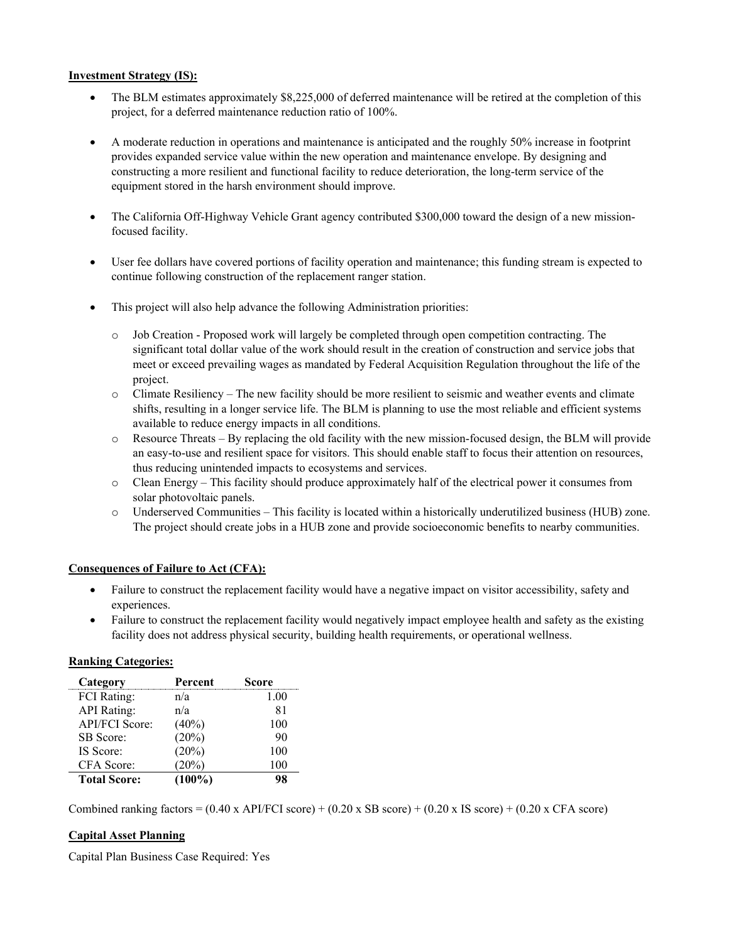#### **Investment Strategy (IS):**

- The BLM estimates approximately \$8,225,000 of deferred maintenance will be retired at the completion of this project, for a deferred maintenance reduction ratio of 100%.
- A moderate reduction in operations and maintenance is anticipated and the roughly 50% increase in footprint provides expanded service value within the new operation and maintenance envelope. By designing and constructing a more resilient and functional facility to reduce deterioration, the long-term service of the equipment stored in the harsh environment should improve.
- The California Off-Highway Vehicle Grant agency contributed \$300,000 toward the design of a new missionfocused facility.
- User fee dollars have covered portions of facility operation and maintenance; this funding stream is expected to continue following construction of the replacement ranger station.
- This project will also help advance the following Administration priorities:
	- o Job Creation Proposed work will largely be completed through open competition contracting. The significant total dollar value of the work should result in the creation of construction and service jobs that meet or exceed prevailing wages as mandated by Federal Acquisition Regulation throughout the life of the project.
	- o Climate Resiliency The new facility should be more resilient to seismic and weather events and climate shifts, resulting in a longer service life. The BLM is planning to use the most reliable and efficient systems available to reduce energy impacts in all conditions.
	- o Resource Threats By replacing the old facility with the new mission-focused design, the BLM will provide an easy-to-use and resilient space for visitors. This should enable staff to focus their attention on resources, thus reducing unintended impacts to ecosystems and services.
	- o Clean Energy This facility should produce approximately half of the electrical power it consumes from solar photovoltaic panels.
	- o Underserved Communities This facility is located within a historically underutilized business (HUB) zone. The project should create jobs in a HUB zone and provide socioeconomic benefits to nearby communities.

#### **Consequences of Failure to Act (CFA):**

- Failure to construct the replacement facility would have a negative impact on visitor accessibility, safety and experiences.
- Failure to construct the replacement facility would negatively impact employee health and safety as the existing facility does not address physical security, building health requirements, or operational wellness.

#### **Ranking Categories:**

| Category              | Percent   | Score |
|-----------------------|-----------|-------|
| <b>FCI</b> Rating:    | n/a       | 1.00  |
| <b>API</b> Rating:    | n/a       | 81    |
| <b>API/FCI Score:</b> | $(40\%)$  | 100   |
| SB Score:             | (20%)     | 90    |
| IS Score:             | (20%)     | 100   |
| CFA Score:            | $20\%)$   | 100   |
| <b>Total Score:</b>   | $(100\%)$ |       |

Combined ranking factors =  $(0.40 \times API/FCI score) + (0.20 \times SB score) + (0.20 \times IS score) + (0.20 \times CFA score)$ 

#### **Capital Asset Planning**

Capital Plan Business Case Required: Yes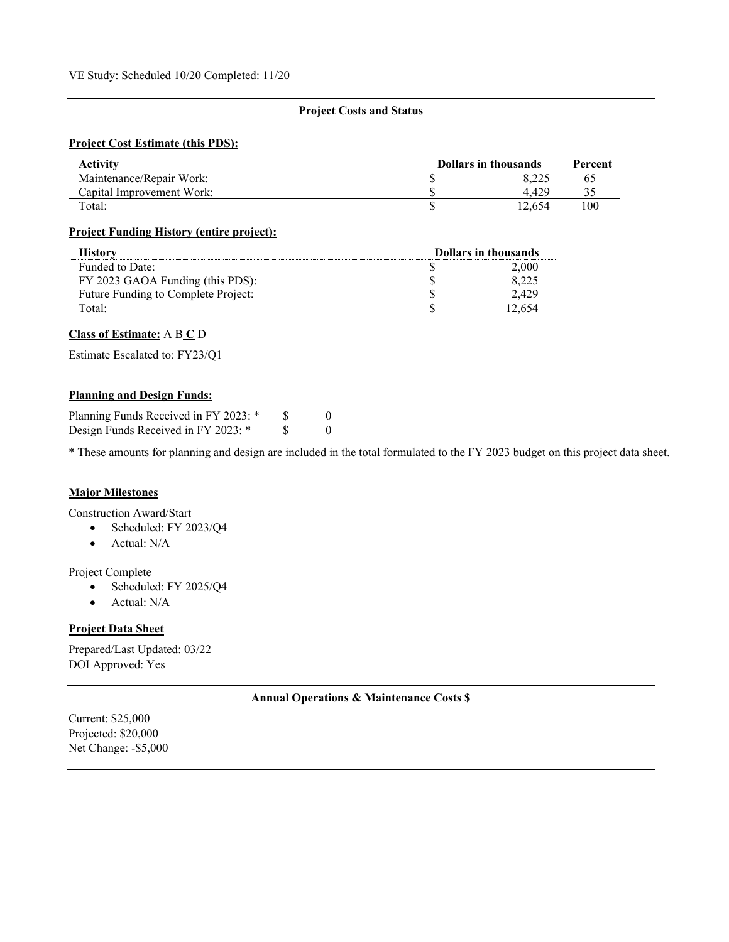#### **Project Costs and Status**

#### **Project Cost Estimate (this PDS):**

| Activity                  | <b>Dollars in thousands</b> |       | Percent |
|---------------------------|-----------------------------|-------|---------|
| Maintenance/Repair Work:  |                             |       |         |
| Capital Improvement Work: |                             |       |         |
| Total:                    |                             | 2.654 | 100     |

#### **Project Funding History (entire project):**

| History                             | <b>Dollars in thousands</b> |        |
|-------------------------------------|-----------------------------|--------|
| Funded to Date:                     |                             | 2.000  |
| FY 2023 GAOA Funding (this PDS):    |                             | 8,225  |
| Future Funding to Complete Project: |                             | .429   |
| Total:                              |                             | 12.654 |

#### **Class of Estimate:** A B **C** D

Estimate Escalated to: FY23/Q1

#### **Planning and Design Funds:**

| Planning Funds Received in FY 2023: * |  |
|---------------------------------------|--|
| Design Funds Received in FY 2023: *   |  |

\* These amounts for planning and design are included in the total formulated to the FY 2023 budget on this project data sheet.

#### **Major Milestones**

Construction Award/Start

- Scheduled: FY 2023/Q4
- Actual: N/A

#### Project Complete

- Scheduled: FY 2025/Q4
- Actual: N/A

#### **Project Data Sheet**

Prepared/Last Updated: 03/22 DOI Approved: Yes

#### **Annual Operations & Maintenance Costs \$**

Current: \$25,000 Projected: \$20,000 Net Change: -\$5,000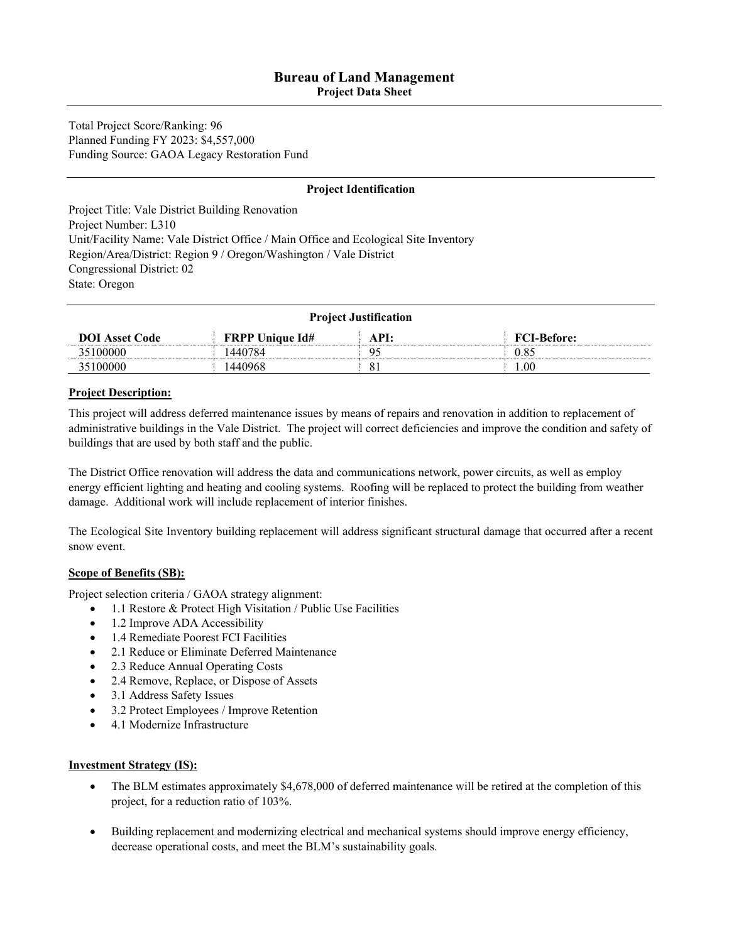**Project Data Sheet** 

Total Project Score/Ranking: 96 Planned Funding FY 2023: \$4,557,000 Funding Source: GAOA Legacy Restoration Fund

#### **Project Identification**

Project Title: Vale District Building Renovation Project Number: L310 Unit/Facility Name: Vale District Office / Main Office and Ecological Site Inventory Region/Area/District: Region 9 / Oregon/Washington / Vale District Congressional District: 02 State: Oregon

| <b>Project Justification</b> |                        |      |                    |
|------------------------------|------------------------|------|--------------------|
| <b>DOI</b> Asset Code        | <b>FRPP Unique Id#</b> | API: | <b>FCI-Before:</b> |
| 35100000                     | 440784                 | q٢   | 0.85               |
| 35100000                     | 440968                 |      | $00$ .             |

#### **Project Description:**

This project will address deferred maintenance issues by means of repairs and renovation in addition to replacement of administrative buildings in the Vale District. The project will correct deficiencies and improve the condition and safety of buildings that are used by both staff and the public.

The District Office renovation will address the data and communications network, power circuits, as well as employ energy efficient lighting and heating and cooling systems. Roofing will be replaced to protect the building from weather damage. Additional work will include replacement of interior finishes.

The Ecological Site Inventory building replacement will address significant structural damage that occurred after a recent snow event.

#### **Scope of Benefits (SB):**

Project selection criteria / GAOA strategy alignment:

- 1.1 Restore & Protect High Visitation / Public Use Facilities
- 1.2 Improve ADA Accessibility
- 1.4 Remediate Poorest FCI Facilities
- 2.1 Reduce or Eliminate Deferred Maintenance
- 2.3 Reduce Annual Operating Costs
- 2.4 Remove, Replace, or Dispose of Assets
- 3.1 Address Safety Issues
- 3.2 Protect Employees / Improve Retention
- 4.1 Modernize Infrastructure

#### **Investment Strategy (IS):**

- The BLM estimates approximately \$4,678,000 of deferred maintenance will be retired at the completion of this project, for a reduction ratio of 103%.
- Building replacement and modernizing electrical and mechanical systems should improve energy efficiency, decrease operational costs, and meet the BLM's sustainability goals.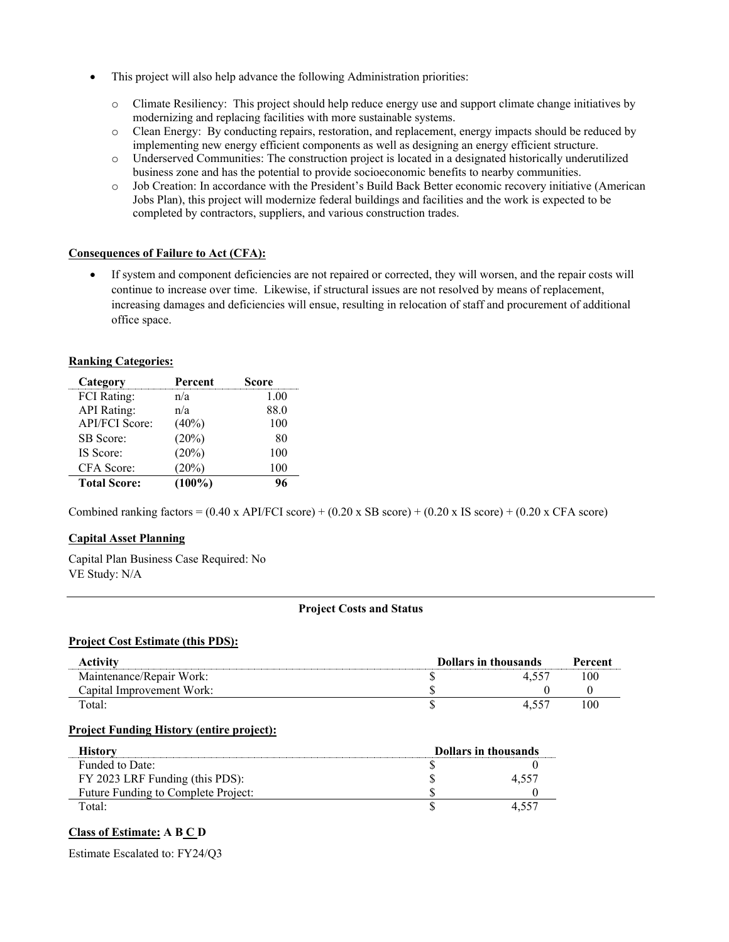- This project will also help advance the following Administration priorities:
	- o Climate Resiliency: This project should help reduce energy use and support climate change initiatives by modernizing and replacing facilities with more sustainable systems.
	- o Clean Energy: By conducting repairs, restoration, and replacement, energy impacts should be reduced by implementing new energy efficient components as well as designing an energy efficient structure.
	- o Underserved Communities: The construction project is located in a designated historically underutilized business zone and has the potential to provide socioeconomic benefits to nearby communities.
	- o Job Creation: In accordance with the President's Build Back Better economic recovery initiative (American Jobs Plan), this project will modernize federal buildings and facilities and the work is expected to be completed by contractors, suppliers, and various construction trades.

#### **Consequences of Failure to Act (CFA):**

• If system and component deficiencies are not repaired or corrected, they will worsen, and the repair costs will continue to increase over time. Likewise, if structural issues are not resolved by means of replacement, increasing damages and deficiencies will ensue, resulting in relocation of staff and procurement of additional office space.

#### **Ranking Categories:**

| Category              | Percent   | Score |
|-----------------------|-----------|-------|
| FCI Rating:           | n/a       | 1.00  |
| <b>API</b> Rating:    | n/a       | 88.0  |
| <b>API/FCI Score:</b> | $(40\%)$  | 100   |
| <b>SB</b> Score:      | (20%)     | 80    |
| IS Score:             | (20%)     | 100   |
| CFA Score:            | (20%)     | 100   |
| <b>Total Score:</b>   | $(100\%)$ |       |

Combined ranking factors =  $(0.40 \times API/FCI score) + (0.20 \times SB score) + (0.20 \times IS score) + (0.20 \times CFA score)$ 

#### **Capital Asset Planning**

Capital Plan Business Case Required: No VE Study: N/A

#### **Project Costs and Status**

#### **Project Cost Estimate (this PDS):**

| Activity                  | <b>Dollars in thousands</b> | Percent |
|---------------------------|-----------------------------|---------|
| Maintenance/Repair Work:  |                             | 100     |
| Capital Improvement Work: |                             |         |
| Total:                    | 4.557                       | 100     |

#### **Project Funding History (entire project):**

| Historv                             | <b>Dollars in thousands</b> |      |
|-------------------------------------|-----------------------------|------|
| Funded to Date:                     |                             |      |
| FY 2023 LRF Funding (this PDS):     |                             | 4.JJ |
| Future Funding to Complete Project: |                             |      |
| Total:                              |                             |      |

#### **Class of Estimate: A B C D**

Estimate Escalated to: FY24/Q3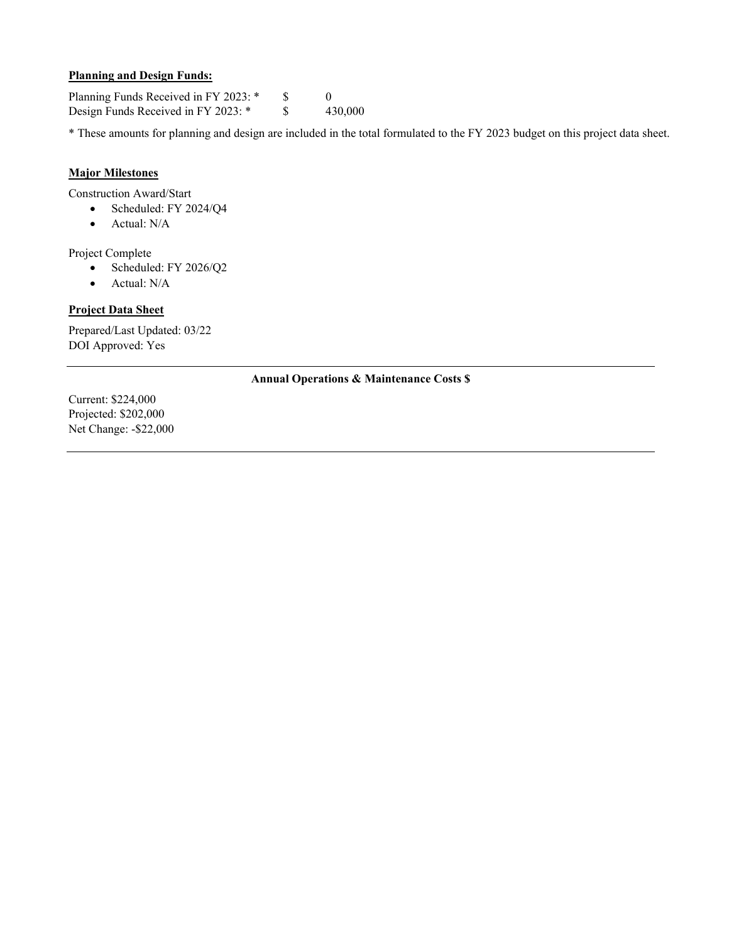#### **Planning and Design Funds:**

Planning Funds Received in FY 2023: \* \$ 0 Design Funds Received in FY 2023: \* \$ 430,000

\* These amounts for planning and design are included in the total formulated to the FY 2023 budget on this project data sheet.

#### **Major Milestones**

Construction Award/Start

- Scheduled: FY 2024/Q4
	- Actual: N/A

Project Complete

- Scheduled: FY 2026/Q2
- Actual: N/A

#### **Project Data Sheet**

Prepared/Last Updated: 03/22 DOI Approved: Yes

#### **Annual Operations & Maintenance Costs \$**

Current: \$224,000 Projected: \$202,000 Net Change: -\$22,000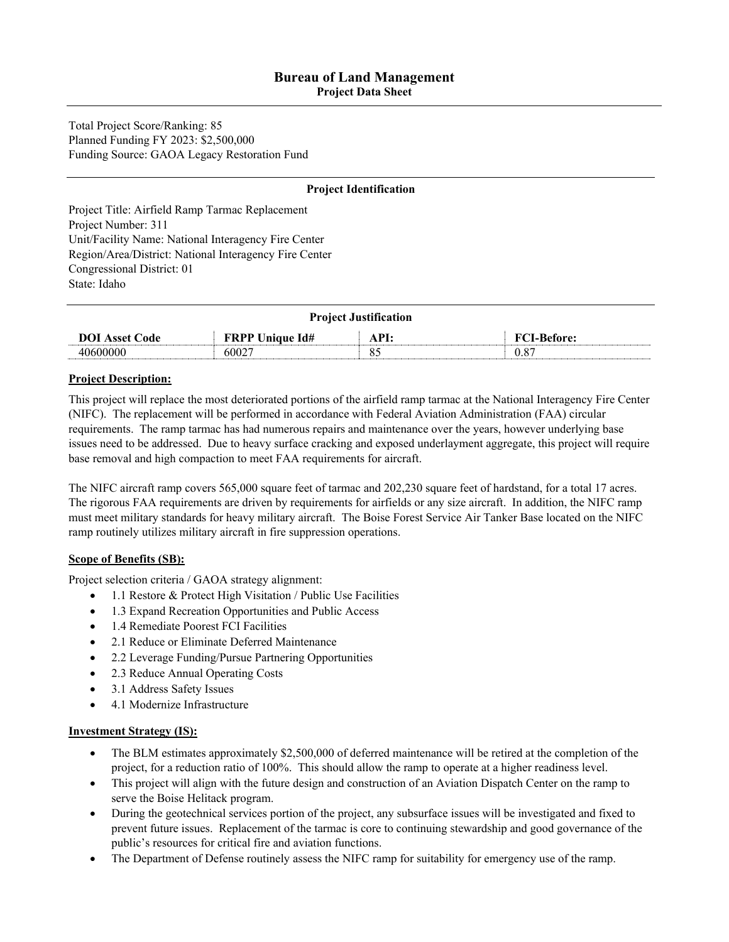**Project Data Sheet** 

Total Project Score/Ranking: 85 Planned Funding FY 2023: \$2,500,000 Funding Source: GAOA Legacy Restoration Fund

#### **Project Identification**

Project Title: Airfield Ramp Tarmac Replacement Project Number: 311 Unit/Facility Name: National Interagency Fire Center Region/Area/District: National Interagency Fire Center Congressional District: 01 State: Idaho

| <b>Project Justification</b> |                        |              |                    |
|------------------------------|------------------------|--------------|--------------------|
| <b>DOI</b> Asset Code        | <b>FRPP Unique Id#</b> | $\Delta$ PI: | <b>FCI-Before:</b> |
| 40600000                     | 60027                  |              | 0.87               |

#### **Project Description:**

This project will replace the most deteriorated portions of the airfield ramp tarmac at the National Interagency Fire Center (NIFC). The replacement will be performed in accordance with Federal Aviation Administration (FAA) circular requirements. The ramp tarmac has had numerous repairs and maintenance over the years, however underlying base issues need to be addressed. Due to heavy surface cracking and exposed underlayment aggregate, this project will require base removal and high compaction to meet FAA requirements for aircraft.

The NIFC aircraft ramp covers 565,000 square feet of tarmac and 202,230 square feet of hardstand, for a total 17 acres. The rigorous FAA requirements are driven by requirements for airfields or any size aircraft. In addition, the NIFC ramp must meet military standards for heavy military aircraft. The Boise Forest Service Air Tanker Base located on the NIFC ramp routinely utilizes military aircraft in fire suppression operations.

#### **Scope of Benefits (SB):**

Project selection criteria / GAOA strategy alignment:

- 1.1 Restore & Protect High Visitation / Public Use Facilities
- 1.3 Expand Recreation Opportunities and Public Access
- 1.4 Remediate Poorest FCI Facilities
- 2.1 Reduce or Eliminate Deferred Maintenance
- 2.2 Leverage Funding/Pursue Partnering Opportunities
- 2.3 Reduce Annual Operating Costs
- 3.1 Address Safety Issues
- 4.1 Modernize Infrastructure

#### **Investment Strategy (IS):**

- The BLM estimates approximately \$2,500,000 of deferred maintenance will be retired at the completion of the project, for a reduction ratio of 100%. This should allow the ramp to operate at a higher readiness level.
- This project will align with the future design and construction of an Aviation Dispatch Center on the ramp to serve the Boise Helitack program.
- During the geotechnical services portion of the project, any subsurface issues will be investigated and fixed to prevent future issues. Replacement of the tarmac is core to continuing stewardship and good governance of the public's resources for critical fire and aviation functions.
- The Department of Defense routinely assess the NIFC ramp for suitability for emergency use of the ramp.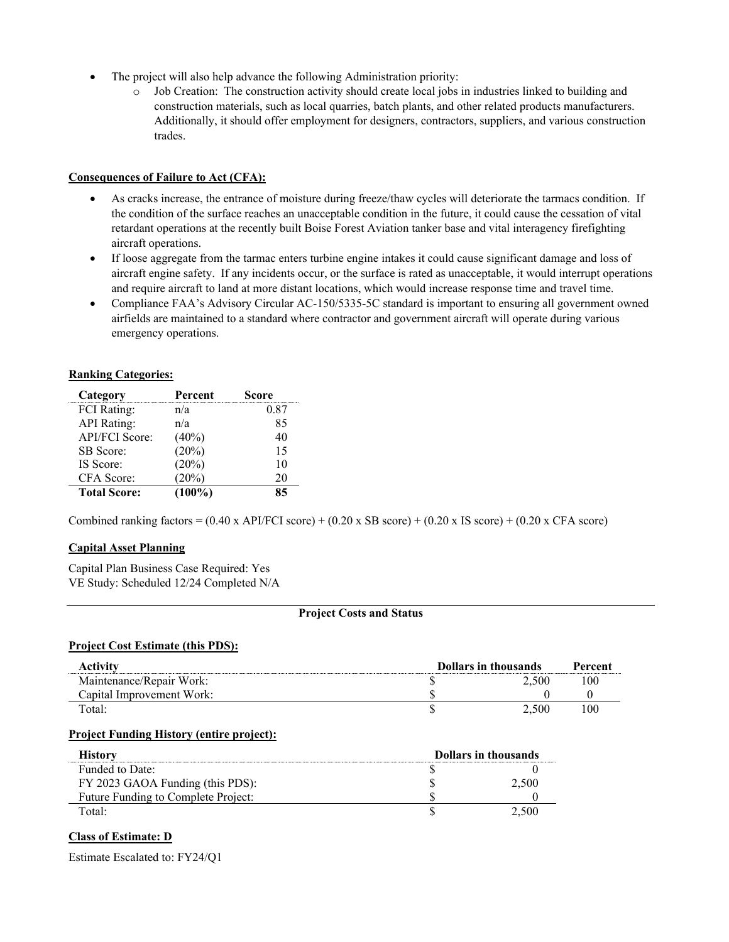- The project will also help advance the following Administration priority:
	- o Job Creation: The construction activity should create local jobs in industries linked to building and construction materials, such as local quarries, batch plants, and other related products manufacturers. Additionally, it should offer employment for designers, contractors, suppliers, and various construction trades.

#### **Consequences of Failure to Act (CFA):**

- As cracks increase, the entrance of moisture during freeze/thaw cycles will deteriorate the tarmacs condition. If the condition of the surface reaches an unacceptable condition in the future, it could cause the cessation of vital retardant operations at the recently built Boise Forest Aviation tanker base and vital interagency firefighting aircraft operations.
- If loose aggregate from the tarmac enters turbine engine intakes it could cause significant damage and loss of aircraft engine safety. If any incidents occur, or the surface is rated as unacceptable, it would interrupt operations and require aircraft to land at more distant locations, which would increase response time and travel time.
- Compliance FAA's Advisory Circular AC-150/5335-5C standard is important to ensuring all government owned airfields are maintained to a standard where contractor and government aircraft will operate during various emergency operations.

#### **Ranking Categories:**

| Category              | Percent   | Score |
|-----------------------|-----------|-------|
| <b>FCI</b> Rating:    | n/a       | 0.87  |
| <b>API</b> Rating:    | n/a       | 85    |
| <b>API/FCI Score:</b> | $(40\%)$  | 40    |
| SB Score:             | (20%)     | 15    |
| IS Score:             | (20%)     | 10    |
| CFA Score:            | (20%)     | 20    |
| <b>Total Score:</b>   | $(100\%)$ | 85    |

Combined ranking factors =  $(0.40 \times API/FCI score) + (0.20 \times SB score) + (0.20 \times IS score) + (0.20 \times CFA score)$ 

#### **Capital Asset Planning**

Capital Plan Business Case Required: Yes VE Study: Scheduled 12/24 Completed N/A

#### **Project Costs and Status**

#### **Project Cost Estimate (this PDS):**

| Activitv                  | Dollars in thousands | Percent |
|---------------------------|----------------------|---------|
| Maintenance/Repair Work:  | 2.500                | 100     |
| Capital Improvement Work: |                      |         |
| Total:                    | 2.500                | 100     |

#### **Project Funding History (entire project):**

| History                             | <b>Dollars in thousands</b> |       |
|-------------------------------------|-----------------------------|-------|
| Funded to Date:                     |                             |       |
| FY 2023 GAOA Funding (this PDS):    |                             | 2.500 |
| Future Funding to Complete Project: |                             |       |
| Total:                              |                             |       |

#### **Class of Estimate: D**

Estimate Escalated to: FY24/Q1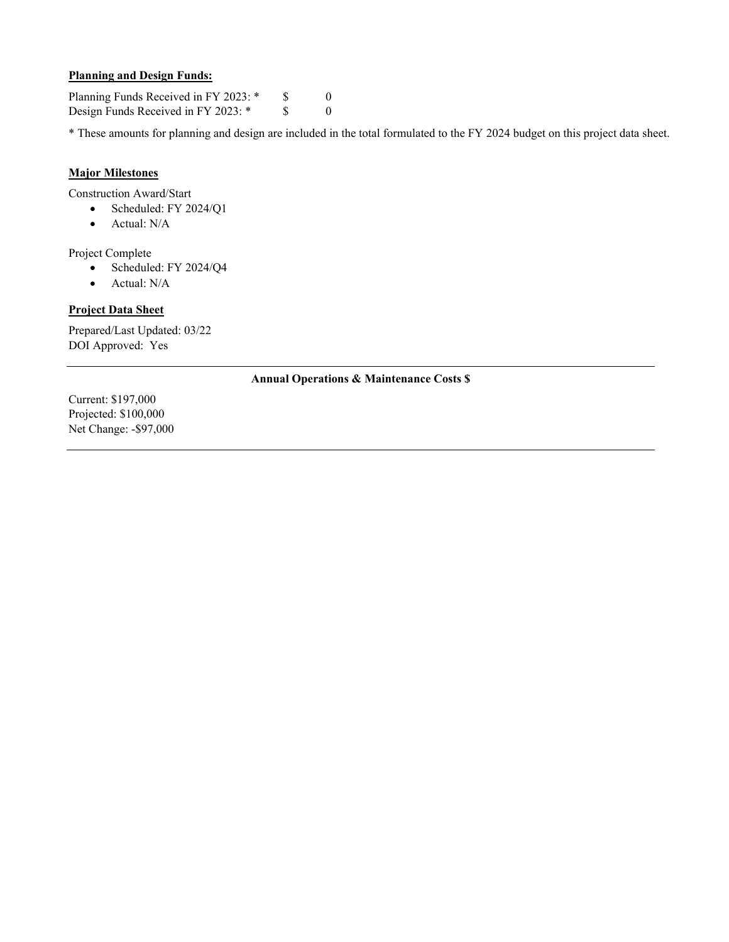#### **Planning and Design Funds:**

Planning Funds Received in FY 2023: \* \$ 0 Design Funds Received in FY 2023: \* \$ 0

\* These amounts for planning and design are included in the total formulated to the FY 2024 budget on this project data sheet.

#### **Major Milestones**

Construction Award/Start

- Scheduled: FY 2024/Q1
	- Actual: N/A

Project Complete

- Scheduled: FY 2024/Q4
- Actual: N/A

#### **Project Data Sheet**

Prepared/Last Updated: 03/22 DOI Approved: Yes

#### **Annual Operations & Maintenance Costs \$**

Current: \$197,000 Projected: \$100,000 Net Change: -\$97,000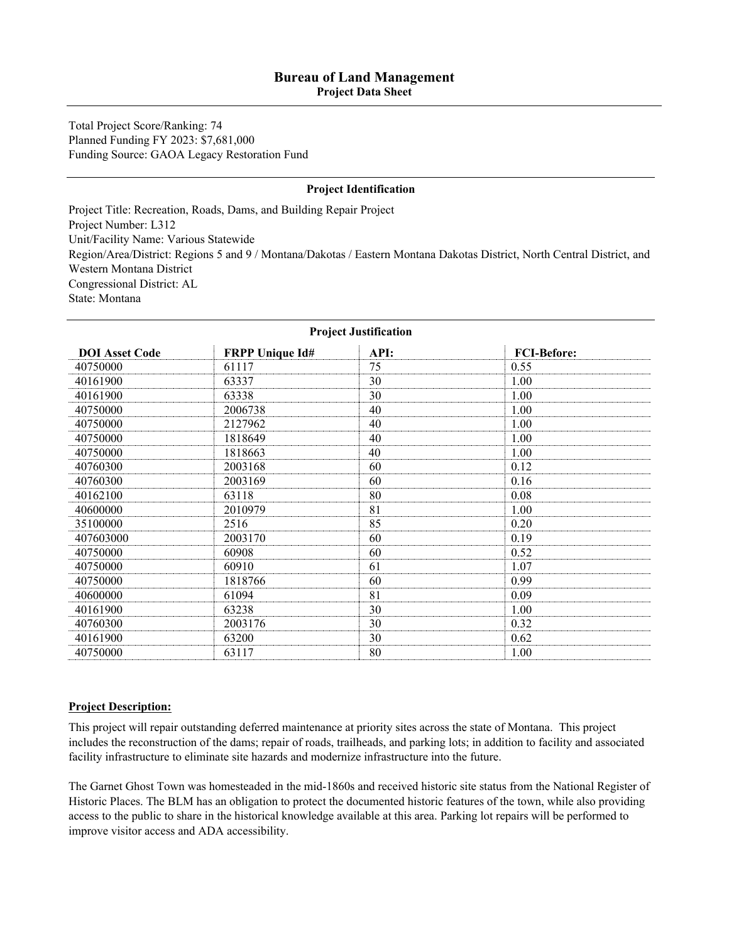#### **Bureau of Land Management Project Data Sheet**

Total Project Score/Ranking: 74

Planned Funding FY 2023: \$7,681,000 Funding Source: GAOA Legacy Restoration Fund

#### **Project Identification**

Project Title: Recreation, Roads, Dams, and Building Repair Project Project Number: L312 Unit/Facility Name: Various Statewide Region/Area/District: Regions 5 and 9 / Montana/Dakotas / Eastern Montana Dakotas District, North Central District, and Western Montana District Congressional District: AL State: Montana

| <b>Project Justification</b> |                        |      |                    |  |
|------------------------------|------------------------|------|--------------------|--|
| <b>DOI</b> Asset Code        | <b>FRPP Unique Id#</b> | API: | <b>FCI-Before:</b> |  |
| 40750000                     | 61117                  | 75   | 0.55               |  |
| 40161900                     | 63337                  | 30   | 1.00               |  |
| 40161900                     | 63338                  | 30   | 1.00               |  |
| 40750000                     | 2006738                | 40   | 1.00               |  |
| 40750000                     | 2127962                | 40   | 1.00               |  |
| 40750000                     | 1818649                | 40   | 1.00               |  |
| 40750000                     | 1818663                | 40   | 1.00               |  |
| 40760300                     | 2003168                | 60   | 0.12               |  |
| 40760300                     | 2003169                | 60   | 0.16               |  |
| 40162100                     | 63118                  | 80   | 0.08               |  |
| 40600000                     | 2010979                | 81   | 1.00               |  |
| 35100000                     | 2516                   | 85   | 0.20               |  |
| 407603000                    | 2003170                | 60   | 0.19               |  |
| 40750000                     | 60908                  | 60   | 0.52               |  |
| 40750000                     | 60910                  | 61   | 1.07               |  |
| 40750000                     | 1818766                | 60   | 0.99               |  |
| 40600000                     | 61094                  | 81   | 0.09               |  |
| 40161900                     | 63238                  | 30   | 1.00               |  |
| 40760300                     | 2003176                | 30   | 0.32               |  |
| 40161900                     | 63200                  | 30   | 0.62               |  |
| 40750000                     | 63117                  | 80   | 1.00               |  |

#### **Project Description:**

This project will repair outstanding deferred maintenance at priority sites across the state of Montana. This project includes the reconstruction of the dams; repair of roads, trailheads, and parking lots; in addition to facility and associated facility infrastructure to eliminate site hazards and modernize infrastructure into the future.

The Garnet Ghost Town was homesteaded in the mid-1860s and received historic site status from the National Register of Historic Places. The BLM has an obligation to protect the documented historic features of the town, while also providing access to the public to share in the historical knowledge available at this area. Parking lot repairs will be performed to improve visitor access and ADA accessibility.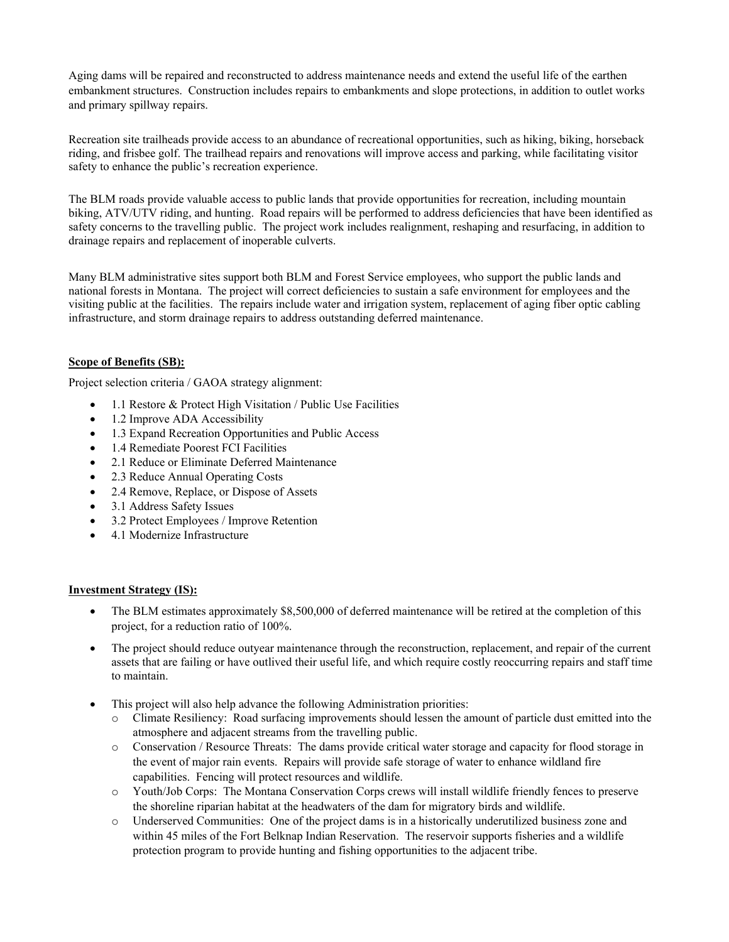Aging dams will be repaired and reconstructed to address maintenance needs and extend the useful life of the earthen embankment structures. Construction includes repairs to embankments and slope protections, in addition to outlet works and primary spillway repairs.

Recreation site trailheads provide access to an abundance of recreational opportunities, such as hiking, biking, horseback riding, and frisbee golf. The trailhead repairs and renovations will improve access and parking, while facilitating visitor safety to enhance the public's recreation experience.

The BLM roads provide valuable access to public lands that provide opportunities for recreation, including mountain biking, ATV/UTV riding, and hunting. Road repairs will be performed to address deficiencies that have been identified as safety concerns to the travelling public. The project work includes realignment, reshaping and resurfacing, in addition to drainage repairs and replacement of inoperable culverts.

Many BLM administrative sites support both BLM and Forest Service employees, who support the public lands and national forests in Montana. The project will correct deficiencies to sustain a safe environment for employees and the visiting public at the facilities. The repairs include water and irrigation system, replacement of aging fiber optic cabling infrastructure, and storm drainage repairs to address outstanding deferred maintenance.

#### **Scope of Benefits (SB):**

Project selection criteria / GAOA strategy alignment:

- 1.1 Restore & Protect High Visitation / Public Use Facilities
- 1.2 Improve ADA Accessibility
- 1.3 Expand Recreation Opportunities and Public Access
- 1.4 Remediate Poorest FCI Facilities
- 2.1 Reduce or Eliminate Deferred Maintenance
- 2.3 Reduce Annual Operating Costs
- 2.4 Remove, Replace, or Dispose of Assets
- 3.1 Address Safety Issues
- 3.2 Protect Employees / Improve Retention
- 4.1 Modernize Infrastructure

#### **Investment Strategy (IS):**

- The BLM estimates approximately \$8,500,000 of deferred maintenance will be retired at the completion of this project, for a reduction ratio of 100%.
- The project should reduce outyear maintenance through the reconstruction, replacement, and repair of the current assets that are failing or have outlived their useful life, and which require costly reoccurring repairs and staff time to maintain.
- This project will also help advance the following Administration priorities:
	- o Climate Resiliency: Road surfacing improvements should lessen the amount of particle dust emitted into the atmosphere and adjacent streams from the travelling public.
	- o Conservation / Resource Threats: The dams provide critical water storage and capacity for flood storage in the event of major rain events. Repairs will provide safe storage of water to enhance wildland fire capabilities. Fencing will protect resources and wildlife.
	- o Youth/Job Corps: The Montana Conservation Corps crews will install wildlife friendly fences to preserve the shoreline riparian habitat at the headwaters of the dam for migratory birds and wildlife.
	- o Underserved Communities: One of the project dams is in a historically underutilized business zone and within 45 miles of the Fort Belknap Indian Reservation. The reservoir supports fisheries and a wildlife protection program to provide hunting and fishing opportunities to the adjacent tribe.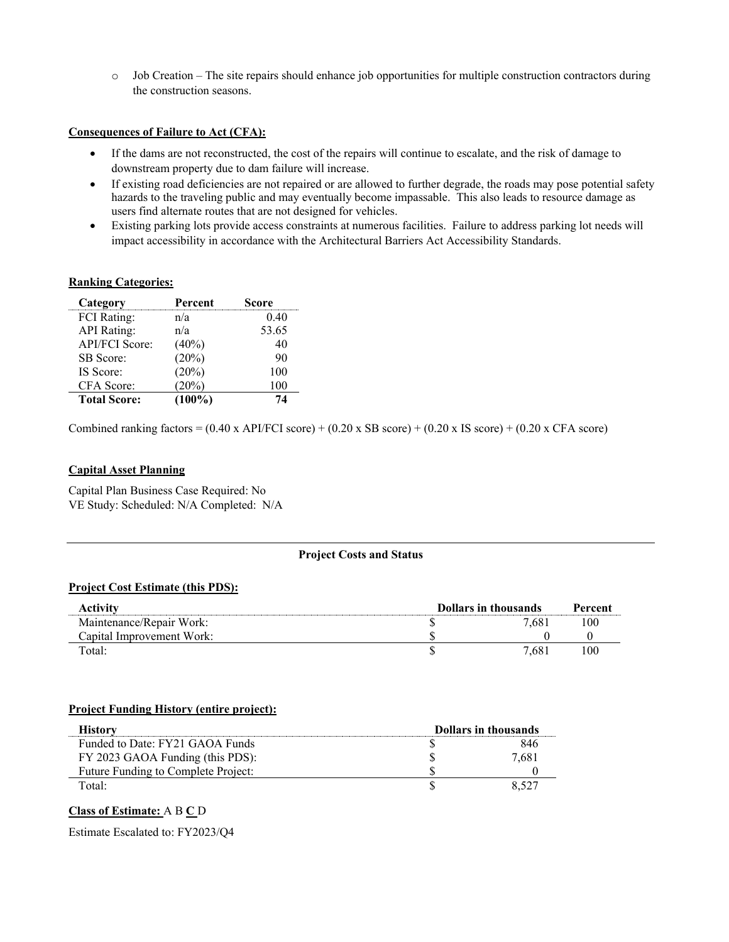o Job Creation – The site repairs should enhance job opportunities for multiple construction contractors during the construction seasons.

#### **Consequences of Failure to Act (CFA):**

- If the dams are not reconstructed, the cost of the repairs will continue to escalate, and the risk of damage to downstream property due to dam failure will increase.
- If existing road deficiencies are not repaired or are allowed to further degrade, the roads may pose potential safety hazards to the traveling public and may eventually become impassable. This also leads to resource damage as users find alternate routes that are not designed for vehicles.
- Existing parking lots provide access constraints at numerous facilities. Failure to address parking lot needs will impact accessibility in accordance with the Architectural Barriers Act Accessibility Standards.

#### **Ranking Categories:**

| Category              | Percent   | Score |
|-----------------------|-----------|-------|
| <b>FCI</b> Rating:    | n/a       | 0.40  |
| <b>API</b> Rating:    | n/a       | 53.65 |
| <b>API/FCI Score:</b> | (40%)     | 40    |
| SB Score:             | (20%)     | 90    |
| IS Score:             | (20%)     | 100   |
| CFA Score:            | (20%)     | 100   |
| <b>Total Score:</b>   | $(100\%)$ | 74    |

Combined ranking factors =  $(0.40 \times API/FCI score) + (0.20 \times SB score) + (0.20 \times IS score) + (0.20 \times CFA score)$ 

#### **Capital Asset Planning**

Capital Plan Business Case Required: No VE Study: Scheduled: N/A Completed: N/A

#### **Project Costs and Status**

#### **Project Cost Estimate (this PDS):**

| Activity                  | <b>Dollars in thousands</b> |       | Percent |
|---------------------------|-----------------------------|-------|---------|
| Maintenance/Repair Work:  |                             | 7.68. | 100     |
| Capital Improvement Work: |                             |       |         |
| Total:                    |                             | 7.68  | 100     |

#### **Project Funding History (entire project):**

| History                             | <b>Dollars in thousands</b> |       |
|-------------------------------------|-----------------------------|-------|
| Funded to Date: FY21 GAOA Funds     |                             | 846   |
| FY 2023 GAOA Funding (this PDS):    |                             | 7.681 |
| Future Funding to Complete Project: |                             |       |
| Total:                              |                             |       |

#### **Class of Estimate:** A B **C** D

Estimate Escalated to: FY2023/Q4